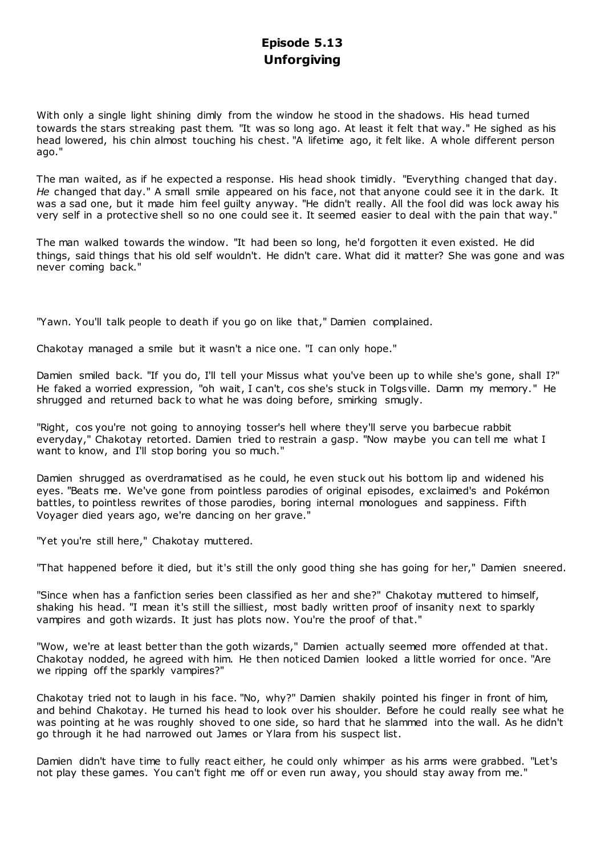# **Episode 5.13 Unforgiving**

With only a single light shining dimly from the window he stood in the shadows. His head turned towards the stars streaking past them. "It was so long ago. At least it felt that way." He sighed as his head lowered, his chin almost touching his chest. "A lifetime ago, it felt like. A whole different person ago."

The man waited, as if he expected a response. His head shook timidly. "Everything changed that day. *He* changed that day." A small smile appeared on his face, not that anyone could see it in the dark. It was a sad one, but it made him feel guilty anyway. "He didn't really. All the fool did was lock away his very self in a protective shell so no one could see it. It seemed easier to deal with the pain that way."

The man walked towards the window. "It had been so long, he'd forgotten it even existed. He did things, said things that his old self wouldn't. He didn't care. What did it matter? She was gone and was never coming back."

"Yawn. You'll talk people to death if you go on like that," Damien complained.

Chakotay managed a smile but it wasn't a nice one. "I can only hope."

Damien smiled back. "If you do, I'll tell your Missus what you've been up to while she's gone, shall I?" He faked a worried expression, "oh wait, I can't, cos she's stuck in Tolgsville. Damn my memory." He shrugged and returned back to what he was doing before, smirking smugly.

"Right, cos you're not going to annoying tosser's hell where they'll serve you barbecue rabbit everyday," Chakotay retorted. Damien tried to restrain a gasp. "Now maybe you can tell me what I want to know, and I'll stop boring you so much."

Damien shrugged as overdramatised as he could, he even stuck out his bottom lip and widened his eyes. "Beats me. We've gone from pointless parodies of original episodes, exclaimed's and Pokémon battles, to pointless rewrites of those parodies, boring internal monologues and sappiness. Fifth Voyager died years ago, we're dancing on her grave."

"Yet you're still here," Chakotay muttered.

"That happened before it died, but it's still the only good thing she has going for her," Damien sneered.

"Since when has a fanfiction series been classified as her and she?" Chakotay muttered to himself, shaking his head. "I mean it's still the silliest, most badly written proof of insanity next to sparkly vampires and goth wizards. It just has plots now. You're the proof of that."

"Wow, we're at least better than the goth wizards," Damien actually seemed more offended at that. Chakotay nodded, he agreed with him. He then noticed Damien looked a little worried for once. "Are we ripping off the sparkly vampires?"

Chakotay tried not to laugh in his face. "No, why?" Damien shakily pointed his finger in front of him, and behind Chakotay. He turned his head to look over his shoulder. Before he could really see what he was pointing at he was roughly shoved to one side, so hard that he slammed into the wall. As he didn't go through it he had narrowed out James or Ylara from his suspect list.

Damien didn't have time to fully react either, he could only whimper as his arms were grabbed. "Let's not play these games. You can't fight me off or even run away, you should stay away from me."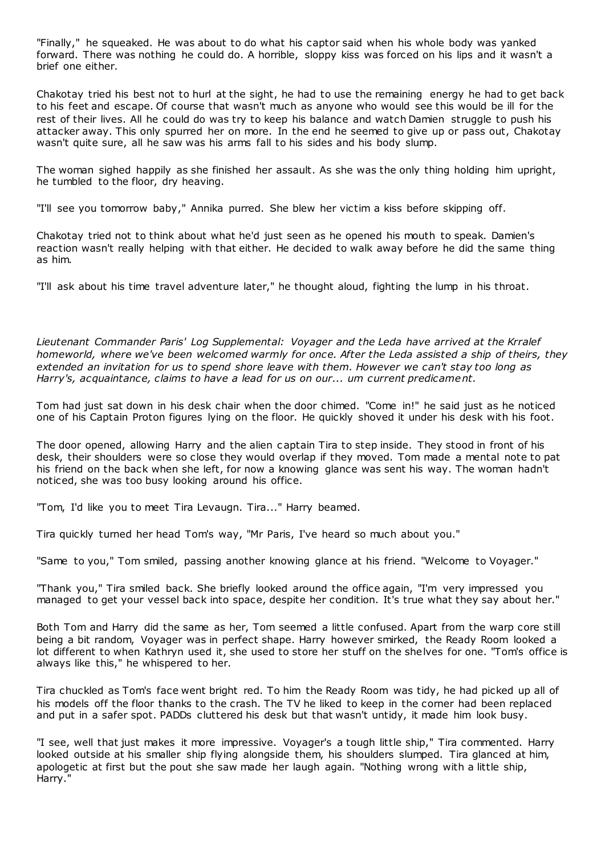"Finally," he squeaked. He was about to do what his captor said when his whole body was yanked forward. There was nothing he could do. A horrible, sloppy kiss was forced on his lips and it wasn't a brief one either.

Chakotay tried his best not to hurl at the sight, he had to use the remaining energy he had to get back to his feet and escape. Of course that wasn't much as anyone who would see this would be ill for the rest of their lives. All he could do was try to keep his balance and watch Damien struggle to push his attacker away. This only spurred her on more. In the end he seemed to give up or pass out, Chakotay wasn't quite sure, all he saw was his arms fall to his sides and his body slump.

The woman sighed happily as she finished her assault. As she was the only thing holding him upright, he tumbled to the floor, dry heaving.

"I'll see you tomorrow baby," Annika purred. She blew her victim a kiss before skipping off.

Chakotay tried not to think about what he'd just seen as he opened his mouth to speak. Damien's reaction wasn't really helping with that either. He decided to walk away before he did the same thing as him.

"I'll ask about his time travel adventure later," he thought aloud, fighting the lump in his throat.

*Lieutenant Commander Paris' Log Supplemental: Voyager and the Leda have arrived at the Krralef homeworld, where we've been welcomed warmly for once. After the Leda assisted a ship of theirs, they extended an invitation for us to spend shore leave with them. However we can't stay too long as Harry's, acquaintance, claims to have a lead for us on our... um current predicament.*

Tom had just sat down in his desk chair when the door chimed. "Come in!" he said just as he noticed one of his Captain Proton figures lying on the floor. He quickly shoved it under his desk with his foot.

The door opened, allowing Harry and the alien c aptain Tira to step inside. They stood in front of his desk, their shoulders were so close they would overlap if they moved. Tom made a mental note to pat his friend on the back when she left, for now a knowing glance was sent his way. The woman hadn't noticed, she was too busy looking around his office.

"Tom, I'd like you to meet Tira Levaugn. Tira..." Harry beamed.

Tira quickly turned her head Tom's way, "Mr Paris, I've heard so much about you."

"Same to you," Tom smiled, passing another knowing glance at his friend. "Welcome to Voyager."

"Thank you," Tira smiled back. She briefly looked around the office again, "I'm very impressed you managed to get your vessel back into space, despite her condition. It's true what they say about her."

Both Tom and Harry did the same as her, Tom seemed a little confused. Apart from the warp core still being a bit random, Voyager was in perfect shape. Harry however smirked, the Ready Room looked a lot different to when Kathryn used it, she used to store her stuff on the shelves for one. "Tom's office is always like this," he whispered to her.

Tira chuckled as Tom's face went bright red. To him the Ready Room was tidy, he had picked up all of his models off the floor thanks to the crash. The TV he liked to keep in the corner had been replaced and put in a safer spot. PADDs cluttered his desk but that wasn't untidy, it made him look busy.

"I see, well that just makes it more impressive. Voyager's a tough little ship," Tira commented. Harry looked outside at his smaller ship flying alongside them, his shoulders slumped. Tira glanced at him, apologetic at first but the pout she saw made her laugh again. "Nothing wrong with a little ship, Harry."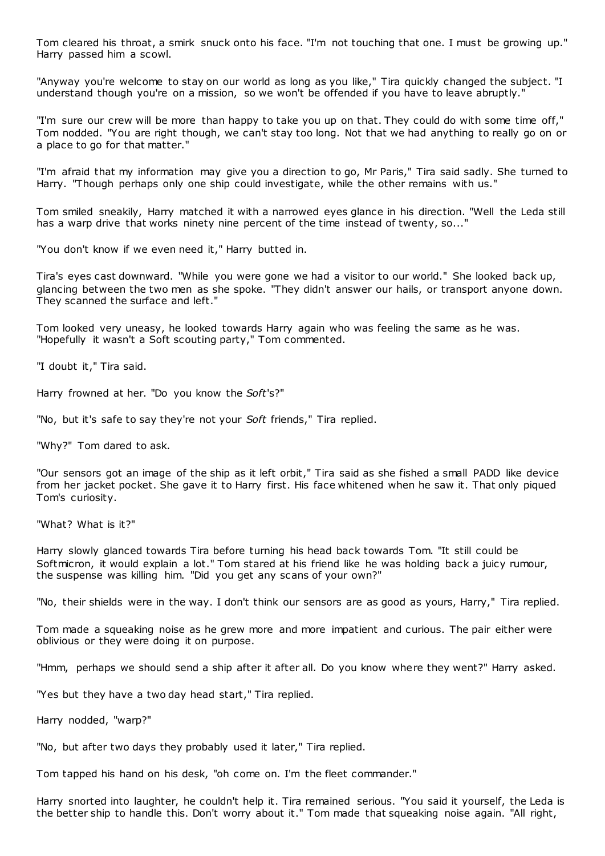Tom cleared his throat, a smirk snuck onto his face. "I'm not touching that one. I must be growing up." Harry passed him a scowl.

"Anyway you're welcome to stay on our world as long as you like," Tira quickly changed the subject. "I understand though you're on a mission, so we won't be offended if you have to leave abruptly."

"I'm sure our crew will be more than happy to take you up on that. They could do with some time off," Tom nodded. "You are right though, we can't stay too long. Not that we had anything to really go on or a place to go for that matter."

"I'm afraid that my information may give you a direction to go, Mr Paris," Tira said sadly. She turned to Harry. "Though perhaps only one ship could investigate, while the other remains with us."

Tom smiled sneakily, Harry matched it with a narrowed eyes glance in his direction. "Well the Leda still has a warp drive that works ninety nine percent of the time instead of twenty, so..."

"You don't know if we even need it," Harry butted in.

Tira's eyes cast downward. "While you were gone we had a visitor to our world." She looked back up, glancing between the two men as she spoke. "They didn't answer our hails, or transport anyone down. They scanned the surface and left."

Tom looked very uneasy, he looked towards Harry again who was feeling the same as he was. "Hopefully it wasn't a Soft scouting party," Tom commented.

"I doubt it," Tira said.

Harry frowned at her. "Do you know the *Soft*'s?"

"No, but it's safe to say they're not your *Soft* friends," Tira replied.

"Why?" Tom dared to ask.

"Our sensors got an image of the ship as it left orbit," Tira said as she fished a small PADD like device from her jacket pocket. She gave it to Harry first. His face whitened when he saw it. That only piqued Tom's curiosity.

"What? What is it?"

Harry slowly glanced towards Tira before turning his head back towards Tom. "It still could be Softmicron, it would explain a lot." Tom stared at his friend like he was holding back a juicy rumour, the suspense was killing him. "Did you get any scans of your own?"

"No, their shields were in the way. I don't think our sensors are as good as yours, Harry," Tira replied.

Tom made a squeaking noise as he grew more and more impatient and curious. The pair either were oblivious or they were doing it on purpose.

"Hmm, perhaps we should send a ship after it after all. Do you know where they went?" Harry asked.

"Yes but they have a two day head start," Tira replied.

Harry nodded, "warp?"

"No, but after two days they probably used it later," Tira replied.

Tom tapped his hand on his desk, "oh come on. I'm the fleet commander."

Harry snorted into laughter, he couldn't help it. Tira remained serious. "You said it yourself, the Leda is the better ship to handle this. Don't worry about it." Tom made that squeaking noise again. "All right,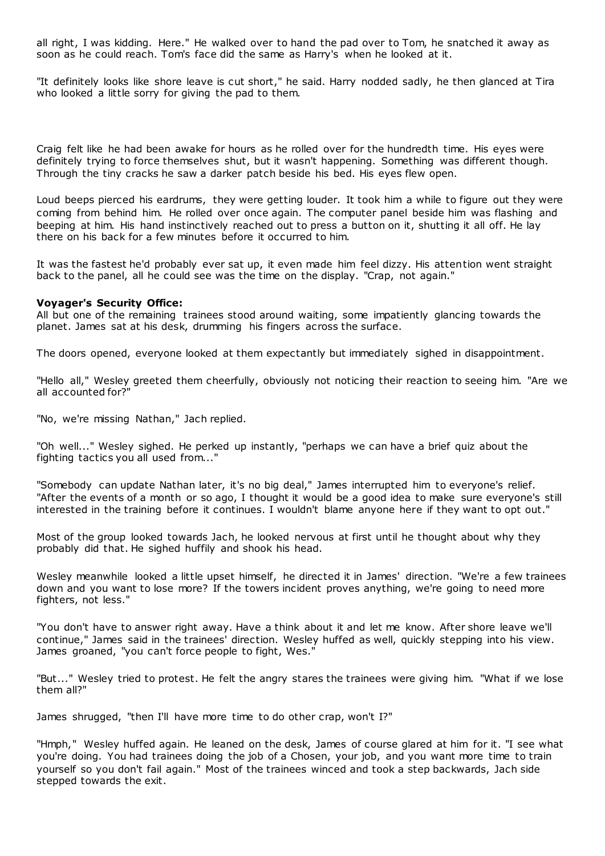all right, I was kidding. Here." He walked over to hand the pad over to Tom, he snatched it away as soon as he could reach. Tom's face did the same as Harry's when he looked at it.

"It definitely looks like shore leave is cut short," he said. Harry nodded sadly, he then glanced at Tira who looked a little sorry for giving the pad to them.

Craig felt like he had been awake for hours as he rolled over for the hundredth time. His eyes were definitely trying to force themselves shut, but it wasn't happening. Something was different though. Through the tiny cracks he saw a darker patch beside his bed. His eyes flew open.

Loud beeps pierced his eardrums, they were getting louder. It took him a while to figure out they were coming from behind him. He rolled over once again. The computer panel beside him was flashing and beeping at him. His hand instinctively reached out to press a button on it, shutting it all off. He lay there on his back for a few minutes before it occurred to him.

It was the fastest he'd probably ever sat up, it even made him feel dizzy. His attention went straight back to the panel, all he could see was the time on the display. "Crap, not again."

### **Voyager's Security Office:**

All but one of the remaining trainees stood around waiting, some impatiently glancing towards the planet. James sat at his desk, drumming his fingers across the surface.

The doors opened, everyone looked at them expectantly but immediately sighed in disappointment.

"Hello all," Wesley greeted them cheerfully, obviously not noticing their reaction to seeing him. "Are we all accounted for?"

"No, we're missing Nathan," Jach replied.

"Oh well..." Wesley sighed. He perked up instantly, "perhaps we can have a brief quiz about the fighting tactics you all used from..."

"Somebody can update Nathan later, it's no big deal," James interrupted him to everyone's relief. "After the events of a month or so ago, I thought it would be a good idea to make sure everyone's still interested in the training before it continues. I wouldn't blame anyone here if they want to opt out."

Most of the group looked towards Jach, he looked nervous at first until he thought about why they probably did that. He sighed huffily and shook his head.

Wesley meanwhile looked a little upset himself, he directed it in James' direction. "We're a few trainees down and you want to lose more? If the towers incident proves anything, we're going to need more fighters, not less."

"You don't have to answer right away. Have a think about it and let me know. After shore leave we'll continue," James said in the trainees' direction. Wesley huffed as well, quickly stepping into his view. James groaned, "you can't force people to fight, Wes."

"But..." Wesley tried to protest. He felt the angry stares the trainees were giving him. "What if we lose them all?"

James shrugged, "then I'll have more time to do other crap, won't I?"

"Hmph," Wesley huffed again. He leaned on the desk, James of course glared at him for it. "I see what you're doing. You had trainees doing the job of a Chosen, your job, and you want more time to train yourself so you don't fail again." Most of the trainees winced and took a step backwards, Jach side stepped towards the exit.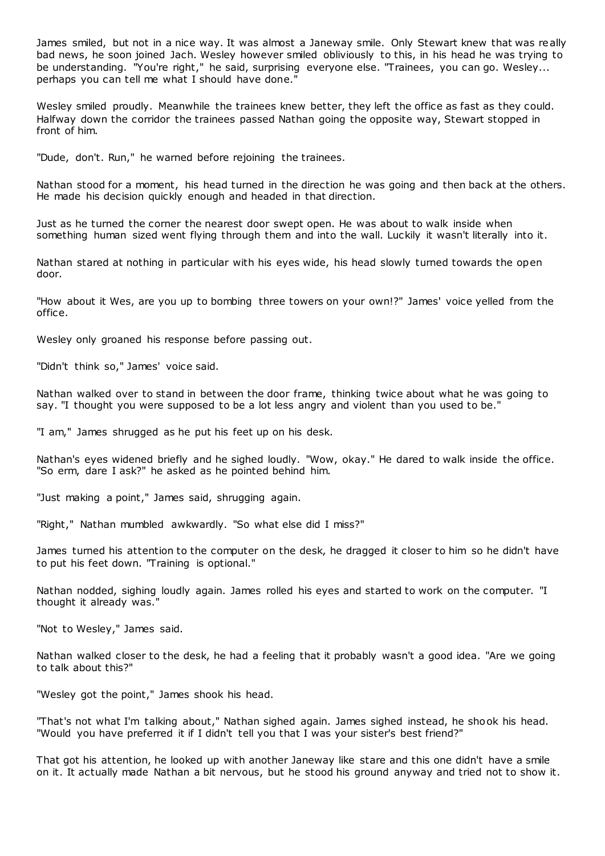James smiled, but not in a nice way. It was almost a Janeway smile. Only Stewart knew that was re ally bad news, he soon joined Jach. Wesley however smiled obliviously to this, in his head he was trying to be understanding. "You're right," he said, surprising everyone else. "Trainees, you can go. Wesley... perhaps you can tell me what I should have done."

Wesley smiled proudly. Meanwhile the trainees knew better, they left the office as fast as they could. Halfway down the corridor the trainees passed Nathan going the opposite way, Stewart stopped in front of him.

"Dude, don't. Run," he warned before rejoining the trainees.

Nathan stood for a moment, his head turned in the direction he was going and then back at the others. He made his decision quickly enough and headed in that direction.

Just as he turned the corner the nearest door swept open. He was about to walk inside when something human sized went flying through them and into the wall. Luckily it wasn't literally into it.

Nathan stared at nothing in particular with his eyes wide, his head slowly turned towards the open door.

"How about it Wes, are you up to bombing three towers on your own!?" James' voice yelled from the office.

Wesley only groaned his response before passing out.

"Didn't think so," James' voice said.

Nathan walked over to stand in between the door frame, thinking twice about what he was going to say. "I thought you were supposed to be a lot less angry and violent than you used to be."

"I am," James shrugged as he put his feet up on his desk.

Nathan's eyes widened briefly and he sighed loudly. "Wow, okay." He dared to walk inside the office. "So erm, dare I ask?" he asked as he pointed behind him.

"Just making a point," James said, shrugging again.

"Right," Nathan mumbled awkwardly. "So what else did I miss?"

James turned his attention to the computer on the desk, he dragged it closer to him so he didn't have to put his feet down. "Training is optional."

Nathan nodded, sighing loudly again. James rolled his eyes and started to work on the computer. "I thought it already was."

"Not to Wesley," James said.

Nathan walked closer to the desk, he had a feeling that it probably wasn't a good idea. "Are we going to talk about this?"

"Wesley got the point," James shook his head.

"That's not what I'm talking about," Nathan sighed again. James sighed instead, he shook his head. "Would you have preferred it if I didn't tell you that I was your sister's best friend?"

That got his attention, he looked up with another Janeway like stare and this one didn't have a smile on it. It actually made Nathan a bit nervous, but he stood his ground anyway and tried not to show it.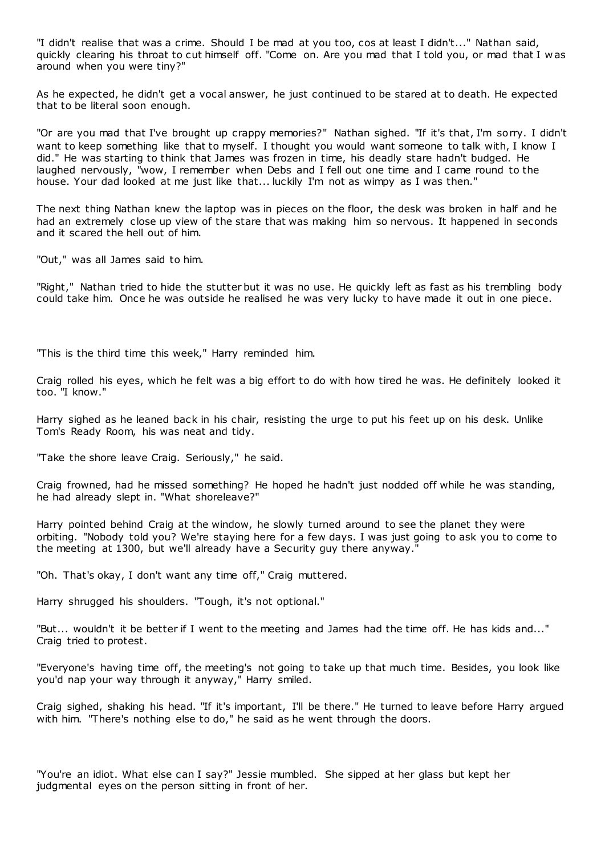"I didn't realise that was a crime. Should I be mad at you too, cos at least I didn't..." Nathan said, quickly clearing his throat to cut himself off. "Come on. Are you mad that I told you, or mad that I w as around when you were tiny?"

As he expected, he didn't get a vocal answer, he just continued to be stared at to death. He expected that to be literal soon enough.

"Or are you mad that I've brought up crappy memories?" Nathan sighed. "If it's that, I'm sorry. I didn't want to keep something like that to myself. I thought you would want someone to talk with, I know I did." He was starting to think that James was frozen in time, his deadly stare hadn't budged. He laughed nervously, "wow, I remember when Debs and I fell out one time and I came round to the house. Your dad looked at me just like that... luckily I'm not as wimpy as I was then."

The next thing Nathan knew the laptop was in pieces on the floor, the desk was broken in half and he had an extremely close up view of the stare that was making him so nervous. It happened in seconds and it scared the hell out of him.

"Out," was all James said to him.

"Right," Nathan tried to hide the stutter but it was no use. He quickly left as fast as his trembling body could take him. Once he was outside he realised he was very lucky to have made it out in one piece.

"This is the third time this week," Harry reminded him.

Craig rolled his eyes, which he felt was a big effort to do with how tired he was. He definitely looked it too. "I know."

Harry sighed as he leaned back in his chair, resisting the urge to put his feet up on his desk. Unlike Tom's Ready Room, his was neat and tidy.

"Take the shore leave Craig. Seriously," he said.

Craig frowned, had he missed something? He hoped he hadn't just nodded off while he was standing, he had already slept in. "What shoreleave?"

Harry pointed behind Craig at the window, he slowly turned around to see the planet they were orbiting. "Nobody told you? We're staying here for a few days. I was just going to ask you to come to the meeting at 1300, but we'll already have a Security guy there anyway."

"Oh. That's okay, I don't want any time off," Craig muttered.

Harry shrugged his shoulders. "Tough, it's not optional."

"But... wouldn't it be better if I went to the meeting and James had the time off. He has kids and..." Craig tried to protest.

"Everyone's having time off, the meeting's not going to take up that much time. Besides, you look like you'd nap your way through it anyway," Harry smiled.

Craig sighed, shaking his head. "If it's important, I'll be there." He turned to leave before Harry argued with him. "There's nothing else to do," he said as he went through the doors.

"You're an idiot. What else can I say?" Jessie mumbled. She sipped at her glass but kept her judgmental eyes on the person sitting in front of her.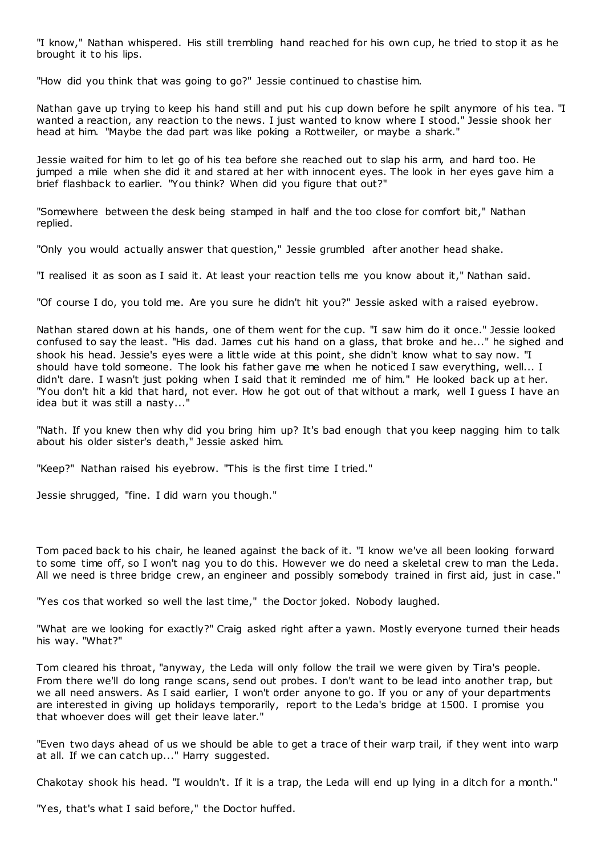"I know," Nathan whispered. His still trembling hand reached for his own cup, he tried to stop it as he brought it to his lips.

"How did you think that was going to go?" Jessie continued to chastise him.

Nathan gave up trying to keep his hand still and put his cup down before he spilt anymore of his tea. "I wanted a reaction, any reaction to the news. I just wanted to know where I stood." Jessie shook her head at him. "Maybe the dad part was like poking a Rottweiler, or maybe a shark."

Jessie waited for him to let go of his tea before she reached out to slap his arm, and hard too. He jumped a mile when she did it and stared at her with innocent eyes. The look in her eyes gave him a brief flashback to earlier. "You think? When did you figure that out?"

"Somewhere between the desk being stamped in half and the too close for comfort bit," Nathan replied.

"Only you would actually answer that question," Jessie grumbled after another head shake.

"I realised it as soon as I said it. At least your reaction tells me you know about it," Nathan said.

"Of course I do, you told me. Are you sure he didn't hit you?" Jessie asked with a raised eyebrow.

Nathan stared down at his hands, one of them went for the cup. "I saw him do it once." Jessie looked confused to say the least. "His dad. James cut his hand on a glass, that broke and he..." he sighed and shook his head. Jessie's eyes were a little wide at this point, she didn't know what to say now. "I should have told someone. The look his father gave me when he noticed I saw everything, well... I didn't dare. I wasn't just poking when I said that it reminded me of him." He looked back up at her. "You don't hit a kid that hard, not ever. How he got out of that without a mark, well I guess I have an idea but it was still a nasty...'

"Nath. If you knew then why did you bring him up? It's bad enough that you keep nagging him to talk about his older sister's death," Jessie asked him.

"Keep?" Nathan raised his eyebrow. "This is the first time I tried."

Jessie shrugged, "fine. I did warn you though."

Tom paced back to his chair, he leaned against the back of it. "I know we've all been looking forward to some time off, so I won't nag you to do this. However we do need a skeletal crew to man the Leda. All we need is three bridge crew, an engineer and possibly somebody trained in first aid, just in case."

"Yes cos that worked so well the last time," the Doctor joked. Nobody laughed.

"What are we looking for exactly?" Craig asked right after a yawn. Mostly everyone turned their heads his way. "What?"

Tom cleared his throat, "anyway, the Leda will only follow the trail we were given by Tira's people. From there we'll do long range scans, send out probes. I don't want to be lead into another trap, but we all need answers. As I said earlier, I won't order anyone to go. If you or any of your departments are interested in giving up holidays temporarily, report to the Leda's bridge at 1500. I promise you that whoever does will get their leave later."

"Even two days ahead of us we should be able to get a trace of their warp trail, if they went into warp at all. If we can catch up..." Harry suggested.

Chakotay shook his head. "I wouldn't. If it is a trap, the Leda will end up lying in a ditch for a month."

"Yes, that's what I said before," the Doctor huffed.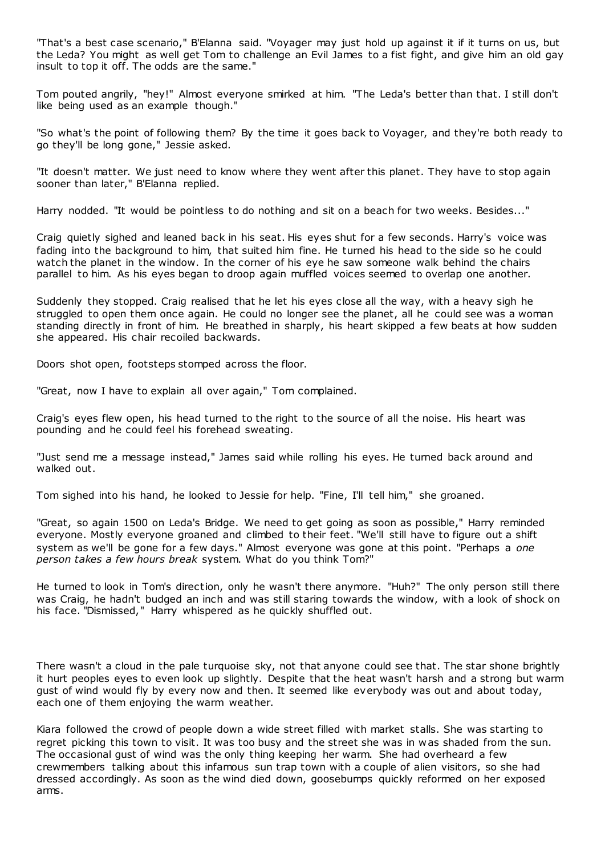"That's a best case scenario," B'Elanna said. "Voyager may just hold up against it if it turns on us, but the Leda? You might as well get Tom to challenge an Evil James to a fist fight, and give him an old gay insult to top it off. The odds are the same."

Tom pouted angrily, "hey!" Almost everyone smirked at him. "The Leda's better than that. I still don't like being used as an example though."

"So what's the point of following them? By the time it goes back to Voyager, and they're both ready to go they'll be long gone," Jessie asked.

"It doesn't matter. We just need to know where they went after this planet. They have to stop again sooner than later," B'Elanna replied.

Harry nodded. "It would be pointless to do nothing and sit on a beach for two weeks. Besides..."

Craig quietly sighed and leaned back in his seat. His eyes shut for a few seconds. Harry's voice was fading into the background to him, that suited him fine. He turned his head to the side so he could watch the planet in the window. In the corner of his eye he saw someone walk behind the chairs parallel to him. As his eyes began to droop again muffled voices seemed to overlap one another.

Suddenly they stopped. Craig realised that he let his eyes close all the way, with a heavy sigh he struggled to open them once again. He could no longer see the planet, all he could see was a woman standing directly in front of him. He breathed in sharply, his heart skipped a few beats at how sudden she appeared. His chair recoiled backwards.

Doors shot open, footsteps stomped across the floor.

"Great, now I have to explain all over again," Tom complained.

Craig's eyes flew open, his head turned to the right to the source of all the noise. His heart was pounding and he could feel his forehead sweating.

"Just send me a message instead," James said while rolling his eyes. He turned back around and walked out.

Tom sighed into his hand, he looked to Jessie for help. "Fine, I'll tell him," she groaned.

"Great, so again 1500 on Leda's Bridge. We need to get going as soon as possible," Harry reminded everyone. Mostly everyone groaned and climbed to their feet. "We'll still have to figure out a shift system as we'll be gone for a few days." Almost everyone was gone at this point. "Perhaps a *one person takes a few hours break* system. What do you think Tom?"

He turned to look in Tom's direction, only he wasn't there anymore. "Huh?" The only person still there was Craig, he hadn't budged an inch and was still staring towards the window, with a look of shock on his face. "Dismissed," Harry whispered as he quickly shuffled out.

There wasn't a cloud in the pale turquoise sky, not that anyone could see that. The star shone brightly it hurt peoples eyes to even look up slightly. Despite that the heat wasn't harsh and a strong but warm gust of wind would fly by every now and then. It seemed like everybody was out and about today, each one of them enjoying the warm weather.

Kiara followed the crowd of people down a wide street filled with market stalls. She was starting to regret picking this town to visit. It was too busy and the street she was in was shaded from the sun. The occasional gust of wind was the only thing keeping her warm. She had overheard a few crewmembers talking about this infamous sun trap town with a couple of alien visitors, so she had dressed accordingly. As soon as the wind died down, goosebumps quickly reformed on her exposed arms.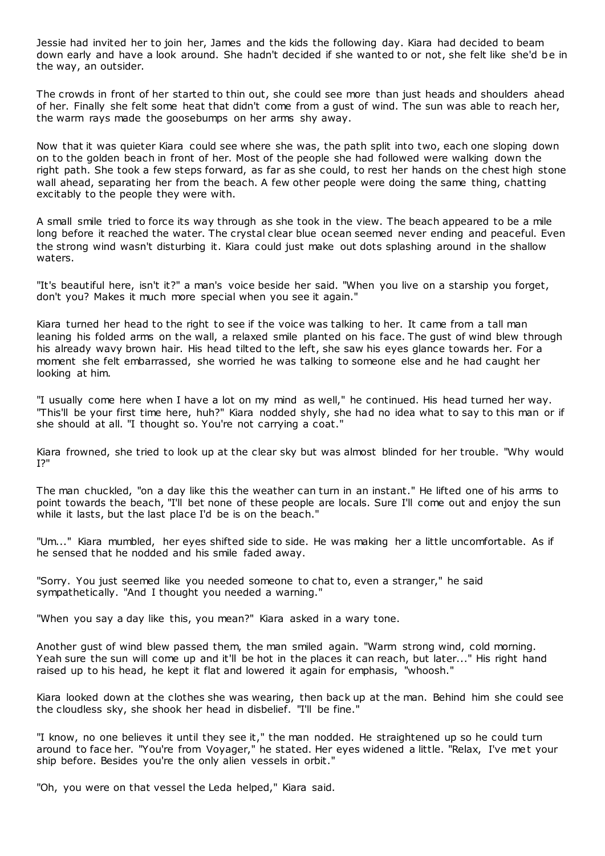Jessie had invited her to join her, James and the kids the following day. Kiara had decided to beam down early and have a look around. She hadn't decided if she wanted to or not, she felt like she'd be in the way, an outsider.

The crowds in front of her started to thin out, she could see more than just heads and shoulders ahead of her. Finally she felt some heat that didn't come from a gust of wind. The sun was able to reach her, the warm rays made the goosebumps on her arms shy away.

Now that it was quieter Kiara could see where she was, the path split into two, each one sloping down on to the golden beach in front of her. Most of the people she had followed were walking down the right path. She took a few steps forward, as far as she could, to rest her hands on the chest high stone wall ahead, separating her from the beach. A few other people were doing the same thing, chatting excitably to the people they were with.

A small smile tried to force its way through as she took in the view. The beach appeared to be a mile long before it reached the water. The crystal clear blue ocean seemed never ending and peaceful. Even the strong wind wasn't disturbing it. Kiara could just make out dots splashing around in the shallow waters.

"It's beautiful here, isn't it?" a man's voice beside her said. "When you live on a starship you forget, don't you? Makes it much more special when you see it again."

Kiara turned her head to the right to see if the voice was talking to her. It came from a tall man leaning his folded arms on the wall, a relaxed smile planted on his face. The gust of wind blew through his already wavy brown hair. His head tilted to the left, she saw his eyes glance towards her. For a moment she felt embarrassed, she worried he was talking to someone else and he had caught her looking at him.

"I usually come here when I have a lot on my mind as well," he continued. His head turned her way. "This'll be your first time here, huh?" Kiara nodded shyly, she had no idea what to say to this man or if she should at all. "I thought so. You're not carrying a coat."

Kiara frowned, she tried to look up at the clear sky but was almost blinded for her trouble. "Why would I?"

The man chuckled, "on a day like this the weather can turn in an instant." He lifted one of his arms to point towards the beach, "I'll bet none of these people are locals. Sure I'll come out and enjoy the sun while it lasts, but the last place I'd be is on the beach."

"Um..." Kiara mumbled, her eyes shifted side to side. He was making her a little uncomfortable. As if he sensed that he nodded and his smile faded away.

"Sorry. You just seemed like you needed someone to chat to, even a stranger," he said sympathetically. "And I thought you needed a warning."

"When you say a day like this, you mean?" Kiara asked in a wary tone.

Another gust of wind blew passed them, the man smiled again. "Warm strong wind, cold morning. Yeah sure the sun will come up and it'll be hot in the places it can reach, but later..." His right hand raised up to his head, he kept it flat and lowered it again for emphasis, "whoosh."

Kiara looked down at the clothes she was wearing, then back up at the man. Behind him she could see the cloudless sky, she shook her head in disbelief. "I'll be fine."

"I know, no one believes it until they see it," the man nodded. He straightened up so he could turn around to face her. "You're from Voyager," he stated. Her eyes widened a little. "Relax, I've met your ship before. Besides you're the only alien vessels in orbit."

"Oh, you were on that vessel the Leda helped," Kiara said.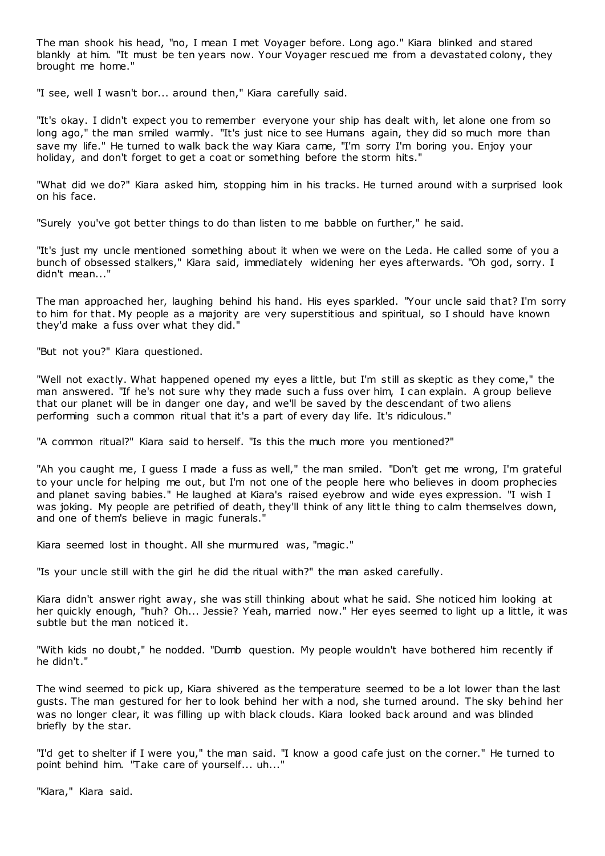The man shook his head, "no, I mean I met Voyager before. Long ago." Kiara blinked and stared blankly at him. "It must be ten years now. Your Voyager rescued me from a devastated colony, they brought me home."

"I see, well I wasn't bor... around then," Kiara carefully said.

"It's okay. I didn't expect you to remember everyone your ship has dealt with, let alone one from so long ago," the man smiled warmly. "It's just nice to see Humans again, they did so much more than save my life." He turned to walk back the way Kiara came, "I'm sorry I'm boring you. Enjoy your holiday, and don't forget to get a coat or something before the storm hits."

"What did we do?" Kiara asked him, stopping him in his tracks. He turned around with a surprised look on his face.

"Surely you've got better things to do than listen to me babble on further," he said.

"It's just my uncle mentioned something about it when we were on the Leda. He called some of you a bunch of obsessed stalkers," Kiara said, immediately widening her eyes afterwards. "Oh god, sorry. I didn't mean..."

The man approached her, laughing behind his hand. His eyes sparkled. "Your uncle said that? I'm sorry to him for that. My people as a majority are very superstitious and spiritual, so I should have known they'd make a fuss over what they did."

"But not you?" Kiara questioned.

"Well not exactly. What happened opened my eyes a little, but I'm still as skeptic as they come," the man answered. "If he's not sure why they made such a fuss over him, I can explain. A group believe that our planet will be in danger one day, and we'll be saved by the descendant of two aliens performing such a common ritual that it's a part of every day life. It's ridiculous."

"A common ritual?" Kiara said to herself. "Is this the much more you mentioned?"

"Ah you caught me, I guess I made a fuss as well," the man smiled. "Don't get me wrong, I'm grateful to your uncle for helping me out, but I'm not one of the people here who believes in doom prophecies and planet saving babies." He laughed at Kiara's raised eyebrow and wide eyes expression. "I wish I was joking. My people are petrified of death, they'll think of any little thing to calm themselves down, and one of them's believe in magic funerals."

Kiara seemed lost in thought. All she murmured was, "magic ."

"Is your uncle still with the girl he did the ritual with?" the man asked carefully.

Kiara didn't answer right away, she was still thinking about what he said. She noticed him looking at her quickly enough, "huh? Oh... Jessie? Yeah, married now." Her eyes seemed to light up a little, it was subtle but the man noticed it.

"With kids no doubt," he nodded. "Dumb question. My people wouldn't have bothered him recently if he didn't."

The wind seemed to pick up, Kiara shivered as the temperature seemed to be a lot lower than the last gusts. The man gestured for her to look behind her with a nod, she turned around. The sky behind her was no longer clear, it was filling up with black clouds. Kiara looked back around and was blinded briefly by the star.

"I'd get to shelter if I were you," the man said. "I know a good cafe just on the corner." He turned to point behind him. "Take care of yourself... uh..."

"Kiara," Kiara said.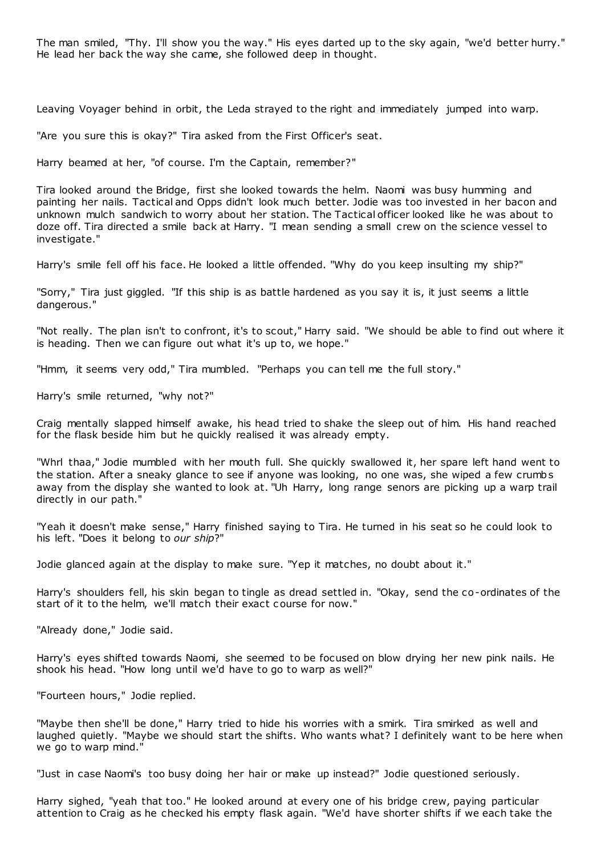The man smiled, "Thy. I'll show you the way." His eyes darted up to the sky again, "we'd better hurry." He lead her back the way she came, she followed deep in thought.

Leaving Voyager behind in orbit, the Leda strayed to the right and immediately jumped into warp.

"Are you sure this is okay?" Tira asked from the First Officer's seat.

Harry beamed at her, "of course. I'm the Captain, remember?"

Tira looked around the Bridge, first she looked towards the helm. Naomi was busy humming and painting her nails. Tactical and Opps didn't look much better. Jodie was too invested in her bacon and unknown mulch sandwich to worry about her station. The Tactical officer looked like he was about to doze off. Tira directed a smile back at Harry. "I mean sending a small crew on the science vessel to investigate."

Harry's smile fell off his face. He looked a little offended. "Why do you keep insulting my ship?"

"Sorry," Tira just giggled. "If this ship is as battle hardened as you say it is, it just seems a little dangerous."

"Not really. The plan isn't to confront, it's to scout," Harry said. "We should be able to find out where it is heading. Then we can figure out what it's up to, we hope."

"Hmm, it seems very odd," Tira mumbled. "Perhaps you can tell me the full story."

Harry's smile returned, "why not?"

Craig mentally slapped himself awake, his head tried to shake the sleep out of him. His hand reached for the flask beside him but he quickly realised it was already empty.

"Whrl thaa," Jodie mumbled with her mouth full. She quickly swallowed it, her spare left hand went to the station. After a sneaky glance to see if anyone was looking, no one was, she wiped a few crumbs away from the display she wanted to look at. "Uh Harry, long range senors are picking up a warp trail directly in our path."

"Yeah it doesn't make sense," Harry finished saying to Tira. He turned in his seat so he could look to his left. "Does it belong to *our ship*?"

Jodie glanced again at the display to make sure. "Yep it matches, no doubt about it."

Harry's shoulders fell, his skin began to tingle as dread settled in. "Okay, send the co-ordinates of the start of it to the helm, we'll match their exact c ourse for now."

"Already done," Jodie said.

Harry's eyes shifted towards Naomi, she seemed to be focused on blow drying her new pink nails. He shook his head. "How long until we'd have to go to warp as well?"

"Fourteen hours," Jodie replied.

"Maybe then she'll be done," Harry tried to hide his worries with a smirk. Tira smirked as well and laughed quietly. "Maybe we should start the shifts. Who wants what? I definitely want to be here when we go to warp mind."

"Just in case Naomi's too busy doing her hair or make up instead?" Jodie questioned seriously.

Harry sighed, "yeah that too." He looked around at every one of his bridge crew, paying particular attention to Craig as he checked his empty flask again. "We'd have shorter shifts if we each take the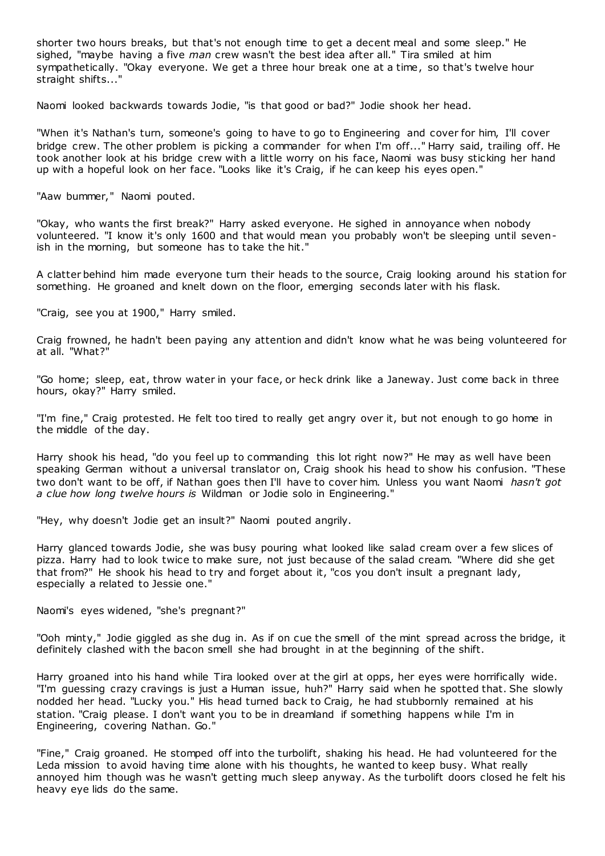shorter two hours breaks, but that's not enough time to get a decent meal and some sleep." He sighed, "maybe having a five *man* crew wasn't the best idea after all." Tira smiled at him sympathetically. "Okay everyone. We get a three hour break one at a time, so that's twelve hour straight shifts...'

Naomi looked backwards towards Jodie, "is that good or bad?" Jodie shook her head.

"When it's Nathan's turn, someone's going to have to go to Engineering and cover for him, I'll cover bridge crew. The other problem is picking a commander for when I'm off..." Harry said, trailing off. He took another look at his bridge crew with a little worry on his face, Naomi was busy sticking her hand up with a hopeful look on her face. "Looks like it's Craig, if he can keep his eyes open."

"Aaw bummer," Naomi pouted.

"Okay, who wants the first break?" Harry asked everyone. He sighed in annoyance when nobody volunteered. "I know it's only 1600 and that would mean you probably won't be sleeping until sevenish in the morning, but someone has to take the hit."

A clatter behind him made everyone turn their heads to the source, Craig looking around his station for something. He groaned and knelt down on the floor, emerging seconds later with his flask.

"Craig, see you at 1900," Harry smiled.

Craig frowned, he hadn't been paying any attention and didn't know what he was being volunteered for at all. "What?"

"Go home; sleep, eat, throw water in your face, or heck drink like a Janeway. Just come back in three hours, okay?" Harry smiled.

"I'm fine," Craig protested. He felt too tired to really get angry over it, but not enough to go home in the middle of the day.

Harry shook his head, "do you feel up to commanding this lot right now?" He may as well have been speaking German without a universal translator on, Craig shook his head to show his confusion. "These two don't want to be off, if Nathan goes then I'll have to cover him. Unless you want Naomi *hasn't got a clue how long twelve hours is* Wildman or Jodie solo in Engineering."

"Hey, why doesn't Jodie get an insult?" Naomi pouted angrily.

Harry glanced towards Jodie, she was busy pouring what looked like salad cream over a few slices of pizza. Harry had to look twice to make sure, not just because of the salad cream. "Where did she get that from?" He shook his head to try and forget about it, "cos you don't insult a pregnant lady, especially a related to Jessie one."

Naomi's eyes widened, "she's pregnant?"

"Ooh minty," Jodie giggled as she dug in. As if on cue the smell of the mint spread across the bridge, it definitely clashed with the bacon smell she had brought in at the beginning of the shift.

Harry groaned into his hand while Tira looked over at the girl at opps, her eyes were horrifically wide. "I'm guessing crazy cravings is just a Human issue, huh?" Harry said when he spotted that. She slowly nodded her head. "Lucky you." His head turned back to Craig, he had stubbornly remained at his station. "Craig please. I don't want you to be in dreamland if something happens while I'm in Engineering, covering Nathan. Go."

"Fine," Craig groaned. He stomped off into the turbolift, shaking his head. He had volunteered for the Leda mission to avoid having time alone with his thoughts, he wanted to keep busy. What really annoyed him though was he wasn't getting much sleep anyway. As the turbolift doors closed he felt his heavy eye lids do the same.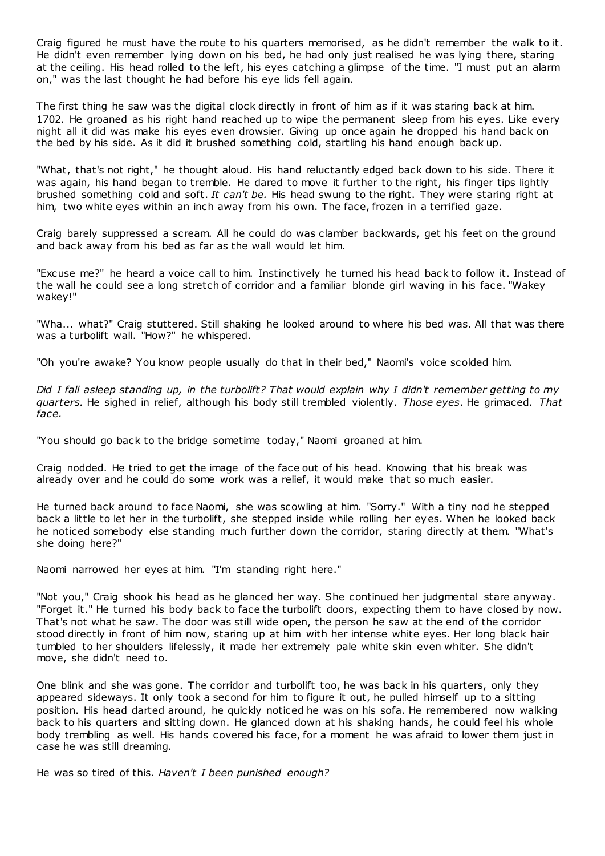Craig figured he must have the route to his quarters memorised, as he didn't remember the walk to it. He didn't even remember lying down on his bed, he had only just realised he was lying there, staring at the ceiling. His head rolled to the left, his eyes catching a glimpse of the time. "I must put an alarm on," was the last thought he had before his eye lids fell again.

The first thing he saw was the digital clock directly in front of him as if it was staring back at him. 1702. He groaned as his right hand reached up to wipe the permanent sleep from his eyes. Like every night all it did was make his eyes even drowsier. Giving up once again he dropped his hand back on the bed by his side. As it did it brushed something cold, startling his hand enough back up.

"What, that's not right," he thought aloud. His hand reluctantly edged back down to his side. There it was again, his hand began to tremble. He dared to move it further to the right, his finger tips lightly brushed something cold and soft. *It can't be.* His head swung to the right. They were staring right at him, two white eyes within an inch away from his own. The face, frozen in a terrified gaze.

Craig barely suppressed a scream. All he could do was clamber backwards, get his feet on the ground and back away from his bed as far as the wall would let him.

"Excuse me?" he heard a voice call to him. Instinctively he turned his head back to follow it. Instead of the wall he could see a long stretch of corridor and a familiar blonde girl waving in his face. "Wakey wakey!"

"Wha... what?" Craig stuttered. Still shaking he looked around to where his bed was. All that was there was a turbolift wall. "How?" he whispered.

"Oh you're awake? You know people usually do that in their bed," Naomi's voice scolded him.

*Did I fall asleep standing up, in the turbolift? That would explain why I didn't remember getting to my quarters.* He sighed in relief, although his body still trembled violently. *Those eyes*. He grimaced. *That face.*

"You should go back to the bridge sometime today," Naomi groaned at him.

Craig nodded. He tried to get the image of the face out of his head. Knowing that his break was already over and he could do some work was a relief, it would make that so much easier.

He turned back around to face Naomi, she was scowling at him. "Sorry." With a tiny nod he stepped back a little to let her in the turbolift, she stepped inside while rolling her eyes. When he looked back he noticed somebody else standing much further down the corridor, staring directly at them. "What's she doing here?"

Naomi narrowed her eyes at him. "I'm standing right here."

"Not you," Craig shook his head as he glanced her way. She continued her judgmental stare anyway. "Forget it." He turned his body back to face the turbolift doors, expecting them to have closed by now. That's not what he saw. The door was still wide open, the person he saw at the end of the corridor stood directly in front of him now, staring up at him with her intense white eyes. Her long black hair tumbled to her shoulders lifelessly, it made her extremely pale white skin even whiter. She didn't move, she didn't need to.

One blink and she was gone. The corridor and turbolift too, he was back in his quarters, only they appeared sideways. It only took a second for him to figure it out, he pulled himself up to a sitting position. His head darted around, he quickly noticed he was on his sofa. He remembered now walking back to his quarters and sitting down. He glanced down at his shaking hands, he could feel his whole body trembling as well. His hands covered his face, for a moment he was afraid to lower them just in case he was still dreaming.

He was so tired of this. *Haven't I been punished enough?*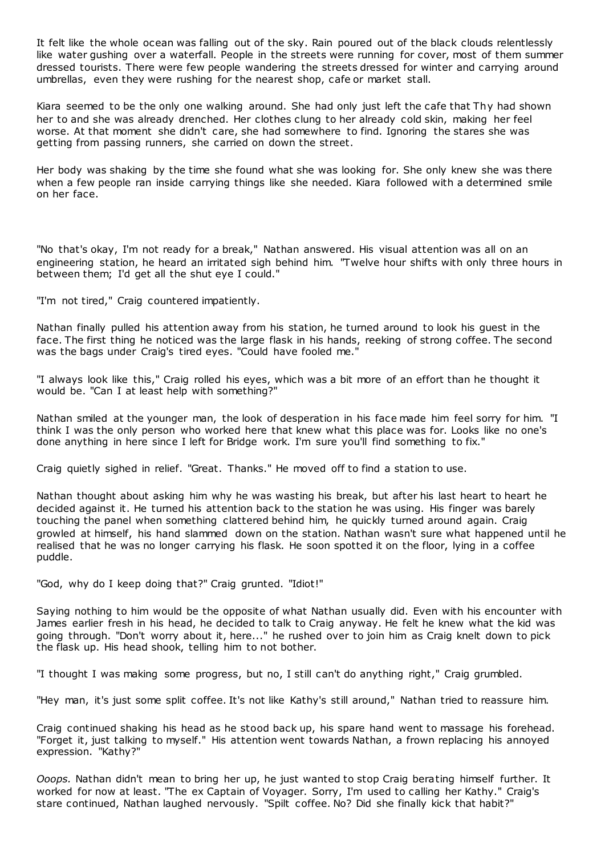It felt like the whole ocean was falling out of the sky. Rain poured out of the black clouds relentlessly like water gushing over a waterfall. People in the streets were running for cover, most of them summer dressed tourists. There were few people wandering the streets dressed for winter and carrying around umbrellas, even they were rushing for the nearest shop, cafe or market stall.

Kiara seemed to be the only one walking around. She had only just left the cafe that Thy had shown her to and she was already drenched. Her clothes clung to her already cold skin, making her feel worse. At that moment she didn't care, she had somewhere to find. Ignoring the stares she was getting from passing runners, she carried on down the street.

Her body was shaking by the time she found what she was looking for. She only knew she was there when a few people ran inside carrying things like she needed. Kiara followed with a determined smile on her face.

"No that's okay, I'm not ready for a break," Nathan answered. His visual attention was all on an engineering station, he heard an irritated sigh behind him. "Twelve hour shifts with only three hours in between them; I'd get all the shut eye I could."

"I'm not tired," Craig countered impatiently.

Nathan finally pulled his attention away from his station, he turned around to look his guest in the face. The first thing he noticed was the large flask in his hands, reeking of strong coffee. The second was the bags under Craig's tired eyes. "Could have fooled me."

"I always look like this," Craig rolled his eyes, which was a bit more of an effort than he thought it would be. "Can I at least help with something?"

Nathan smiled at the younger man, the look of desperation in his face made him feel sorry for him. "I think I was the only person who worked here that knew what this place was for. Looks like no one's done anything in here since I left for Bridge work. I'm sure you'll find something to fix."

Craig quietly sighed in relief. "Great. Thanks." He moved off to find a station to use.

Nathan thought about asking him why he was wasting his break, but after his last heart to heart he decided against it. He turned his attention back to the station he was using. His finger was barely touching the panel when something clattered behind him, he quickly turned around again. Craig growled at himself, his hand slammed down on the station. Nathan wasn't sure what happened until he realised that he was no longer carrying his flask. He soon spotted it on the floor, lying in a coffee puddle.

"God, why do I keep doing that?" Craig grunted. "Idiot!"

Saying nothing to him would be the opposite of what Nathan usually did. Even with his encounter with James earlier fresh in his head, he decided to talk to Craig anyway. He felt he knew what the kid was going through. "Don't worry about it, here..." he rushed over to join him as Craig knelt down to pick the flask up. His head shook, telling him to not bother.

"I thought I was making some progress, but no, I still can't do anything right," Craig grumbled.

"Hey man, it's just some split coffee. It's not like Kathy's still around," Nathan tried to reassure him.

Craig continued shaking his head as he stood back up, his spare hand went to massage his forehead. "Forget it, just talking to myself." His attention went towards Nathan, a frown replacing his annoyed expression. "Kathy?"

*Ooops.* Nathan didn't mean to bring her up, he just wanted to stop Craig berating himself further. It worked for now at least. "The ex Captain of Voyager. Sorry, I'm used to calling her Kathy." Craig's stare continued, Nathan laughed nervously. "Spilt coffee. No? Did she finally kick that habit?"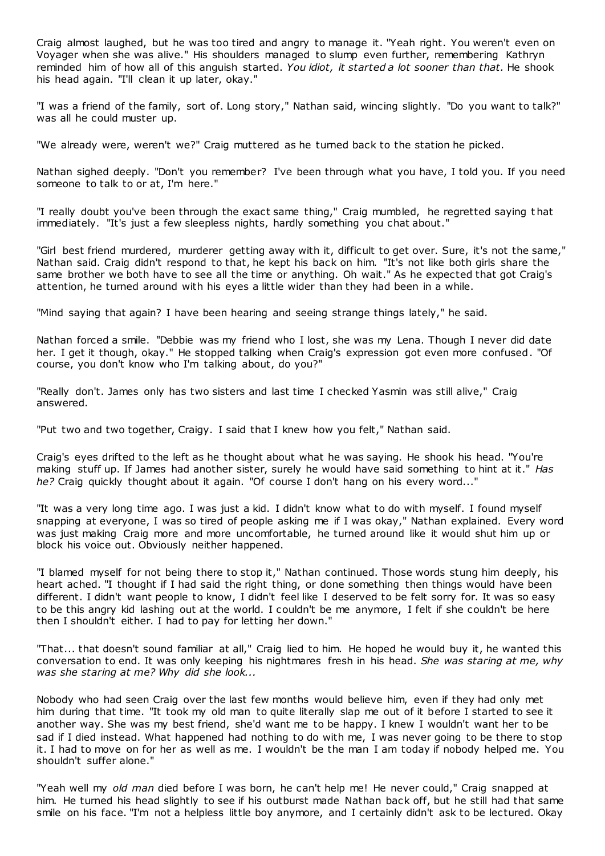Craig almost laughed, but he was too tired and angry to manage it. "Yeah right. You weren't even on Voyager when she was alive." His shoulders managed to slump even further, remembering Kathryn reminded him of how all of this anguish started. *You idiot, it started a lot sooner than that.* He shook his head again. "I'll clean it up later, okay."

"I was a friend of the family, sort of. Long story," Nathan said, wincing slightly. "Do you want to talk?" was all he could muster up.

"We already were, weren't we?" Craig muttered as he turned back to the station he picked.

Nathan sighed deeply. "Don't you remember? I've been through what you have, I told you. If you need someone to talk to or at, I'm here."

"I really doubt you've been through the exact same thing," Craig mumbled, he regretted saying t hat immediately. "It's just a few sleepless nights, hardly something you chat about."

"Girl best friend murdered, murderer getting away with it, difficult to get over. Sure, it's not the same," Nathan said. Craig didn't respond to that, he kept his back on him. "It's not like both girls share the same brother we both have to see all the time or anything. Oh wait." As he expected that got Craig's attention, he turned around with his eyes a little wider than they had been in a while.

"Mind saying that again? I have been hearing and seeing strange things lately," he said.

Nathan forced a smile. "Debbie was my friend who I lost, she was my Lena. Though I never did date her. I get it though, okay." He stopped talking when Craig's expression got even more confused. "Of course, you don't know who I'm talking about, do you?"

"Really don't. James only has two sisters and last time I checked Yasmin was still alive," Craig answered.

"Put two and two together, Craigy. I said that I knew how you felt," Nathan said.

Craig's eyes drifted to the left as he thought about what he was saying. He shook his head. "You're making stuff up. If James had another sister, surely he would have said something to hint at it." *Has he?* Craig quickly thought about it again. "Of course I don't hang on his every word..."

"It was a very long time ago. I was just a kid. I didn't know what to do with myself. I found myself snapping at everyone, I was so tired of people asking me if I was okay," Nathan explained. Every word was just making Craig more and more uncomfortable, he turned around like it would shut him up or block his voice out. Obviously neither happened.

"I blamed myself for not being there to stop it," Nathan continued. Those words stung him deeply, his heart ached. "I thought if I had said the right thing, or done something then things would have been different. I didn't want people to know, I didn't feel like I deserved to be felt sorry for. It was so easy to be this angry kid lashing out at the world. I couldn't be me anymore, I felt if she couldn't be here then I shouldn't either. I had to pay for letting her down."

"That... that doesn't sound familiar at all," Craig lied to him. He hoped he would buy it, he wanted this conversation to end. It was only keeping his nightmares fresh in his head. *She was staring at me, why was she staring at me? Why did she look...*

Nobody who had seen Craig over the last few months would believe him, even if they had only met him during that time. "It took my old man to quite literally slap me out of it before I started to see it another way. She was my best friend, she'd want me to be happy. I knew I wouldn't want her to be sad if I died instead. What happened had nothing to do with me, I was never going to be there to stop it. I had to move on for her as well as me. I wouldn't be the man I am today if nobody helped me. You shouldn't suffer alone."

"Yeah well my *old man* died before I was born, he can't help me! He never could," Craig snapped at him. He turned his head slightly to see if his outburst made Nathan back off, but he still had that same smile on his face. "I'm not a helpless little boy anymore, and I certainly didn't ask to be lectured. Okay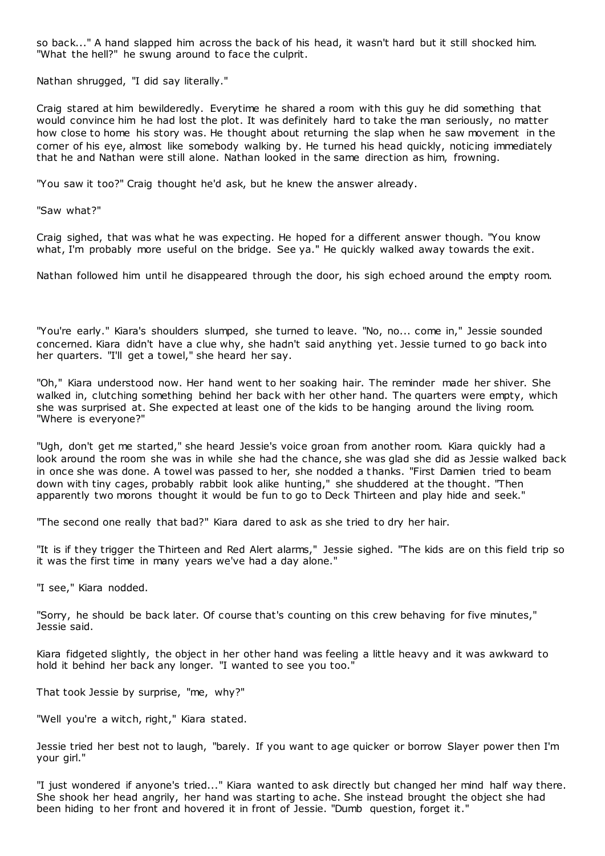so back..." A hand slapped him across the back of his head, it wasn't hard but it still shocked him. "What the hell?" he swung around to face the culprit.

Nathan shrugged, "I did say literally."

Craig stared at him bewilderedly. Everytime he shared a room with this guy he did something that would convince him he had lost the plot. It was definitely hard to take the man seriously, no matter how close to home his story was. He thought about returning the slap when he saw movement in the corner of his eye, almost like somebody walking by. He turned his head quickly, noticing immediately that he and Nathan were still alone. Nathan looked in the same direction as him, frowning.

"You saw it too?" Craig thought he'd ask, but he knew the answer already.

"Saw what?"

Craig sighed, that was what he was expecting. He hoped for a different answer though. "You know what, I'm probably more useful on the bridge. See ya." He quickly walked away towards the exit.

Nathan followed him until he disappeared through the door, his sigh echoed around the empty room.

"You're early." Kiara's shoulders slumped, she turned to leave. "No, no... come in," Jessie sounded concerned. Kiara didn't have a clue why, she hadn't said anything yet. Jessie turned to go back into her quarters. "I'll get a towel," she heard her say.

"Oh," Kiara understood now. Her hand went to her soaking hair. The reminder made her shiver. She walked in, clutching something behind her back with her other hand. The quarters were empty, which she was surprised at. She expected at least one of the kids to be hanging around the living room. "Where is everyone?"

"Ugh, don't get me started," she heard Jessie's voice groan from another room. Kiara quickly had a look around the room she was in while she had the chance, she was glad she did as Jessie walked back in once she was done. A towel was passed to her, she nodded a thanks. "First Damien tried to beam down with tiny cages, probably rabbit look alike hunting," she shuddered at the thought. "Then apparently two morons thought it would be fun to go to Deck Thirteen and play hide and seek."

"The second one really that bad?" Kiara dared to ask as she tried to dry her hair.

"It is if they trigger the Thirteen and Red Alert alarms," Jessie sighed. "The kids are on this field trip so it was the first time in many years we've had a day alone."

"I see," Kiara nodded.

"Sorry, he should be back later. Of course that's counting on this crew behaving for five minutes," Jessie said.

Kiara fidgeted slightly, the object in her other hand was feeling a little heavy and it was awkward to hold it behind her back any longer. "I wanted to see you too."

That took Jessie by surprise, "me, why?"

"Well you're a witch, right," Kiara stated.

Jessie tried her best not to laugh, "barely. If you want to age quicker or borrow Slayer power then I'm your girl."

"I just wondered if anyone's tried..." Kiara wanted to ask directly but changed her mind half way there. She shook her head angrily, her hand was starting to ache. She instead brought the object she had been hiding to her front and hovered it in front of Jessie. "Dumb question, forget it."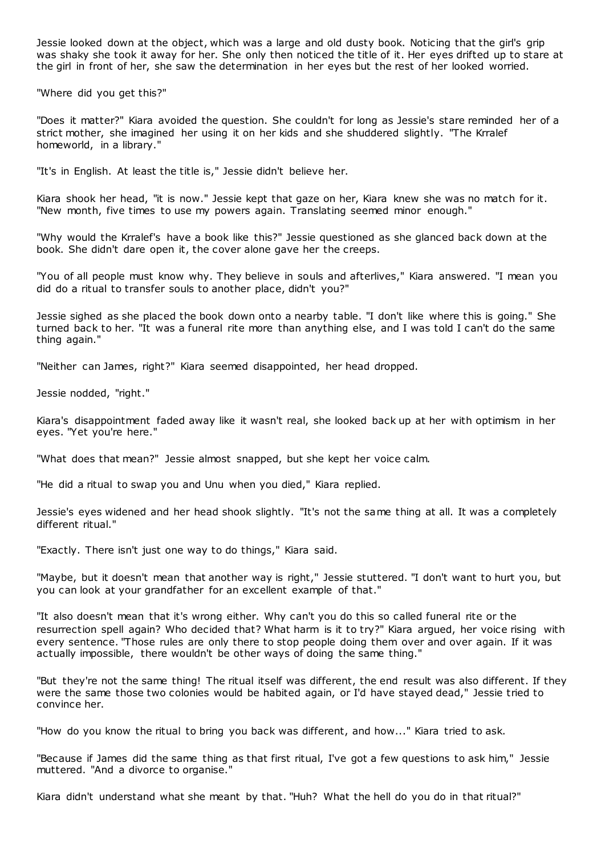Jessie looked down at the object, which was a large and old dusty book. Noticing that the girl's grip was shaky she took it away for her. She only then noticed the title of it. Her eyes drifted up to stare at the girl in front of her, she saw the determination in her eyes but the rest of her looked worried.

"Where did you get this?"

"Does it matter?" Kiara avoided the question. She couldn't for long as Jessie's stare reminded her of a strict mother, she imagined her using it on her kids and she shuddered slightly. "The Krralef homeworld, in a library."

"It's in English. At least the title is," Jessie didn't believe her.

Kiara shook her head, "it is now." Jessie kept that gaze on her, Kiara knew she was no match for it. "New month, five times to use my powers again. Translating seemed minor enough."

"Why would the Krralef's have a book like this?" Jessie questioned as she glanced back down at the book. She didn't dare open it, the cover alone gave her the creeps.

"You of all people must know why. They believe in souls and afterlives," Kiara answered. "I mean you did do a ritual to transfer souls to another place, didn't you?"

Jessie sighed as she placed the book down onto a nearby table. "I don't like where this is going." She turned back to her. "It was a funeral rite more than anything else, and I was told I can't do the same thing again."

"Neither can James, right?" Kiara seemed disappointed, her head dropped.

Jessie nodded, "right."

Kiara's disappointment faded away like it wasn't real, she looked back up at her with optimism in her eyes. "Yet you're here."

"What does that mean?" Jessie almost snapped, but she kept her voice calm.

"He did a ritual to swap you and Unu when you died," Kiara replied.

Jessie's eyes widened and her head shook slightly. "It's not the same thing at all. It was a completely different ritual."

"Exactly. There isn't just one way to do things," Kiara said.

"Maybe, but it doesn't mean that another way is right," Jessie stuttered. "I don't want to hurt you, but you can look at your grandfather for an excellent example of that."

"It also doesn't mean that it's wrong either. Why can't you do this so called funeral rite or the resurrection spell again? Who decided that? What harm is it to try?" Kiara argued, her voice rising with every sentence. "Those rules are only there to stop people doing them over and over again. If it was actually impossible, there wouldn't be other ways of doing the same thing."

"But they're not the same thing! The ritual itself was different, the end result was also different. If they were the same those two colonies would be habited again, or I'd have stayed dead," Jessie tried to convince her.

"How do you know the ritual to bring you back was different, and how..." Kiara tried to ask.

"Because if James did the same thing as that first ritual, I've got a few questions to ask him," Jessie muttered. "And a divorce to organise."

Kiara didn't understand what she meant by that. "Huh? What the hell do you do in that ritual?"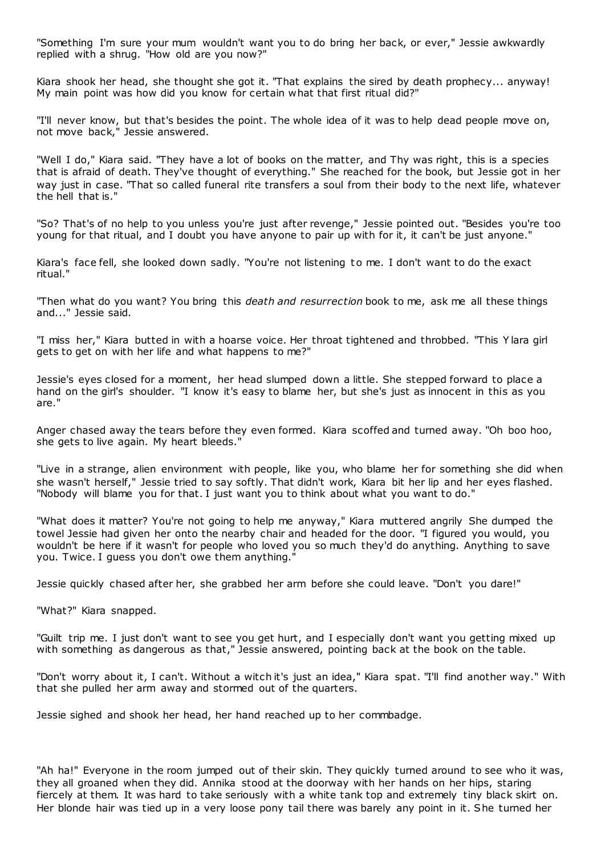"Something I'm sure your mum wouldn't want you to do bring her back, or ever," Jessie awkwardly replied with a shrug. "How old are you now?"

Kiara shook her head, she thought she got it. "That explains the sired by death prophecy... anyway! My main point was how did you know for certain what that first ritual did?"

"I'll never know, but that's besides the point. The whole idea of it was to help dead people move on, not move back," Jessie answered.

"Well I do," Kiara said. "They have a lot of books on the matter, and Thy was right, this is a species that is afraid of death. They've thought of everything." She reached for the book, but Jessie got in her way just in case. "That so called funeral rite transfers a soul from their body to the next life, whatever the hell that is."

"So? That's of no help to you unless you're just after revenge," Jessie pointed out. "Besides you're too young for that ritual, and I doubt you have anyone to pair up with for it, it can't be just anyone."

Kiara's face fell, she looked down sadly. "You're not listening to me. I don't want to do the exact ritual."

"Then what do you want? You bring this *death and resurrection* book to me, ask me all these things and..." Jessie said.

"I miss her," Kiara butted in with a hoarse voice. Her throat tightened and throbbed. "This Y lara girl gets to get on with her life and what happens to me?"

Jessie's eyes closed for a moment, her head slumped down a little. She stepped forward to place a hand on the girl's shoulder. "I know it's easy to blame her, but she's just as innocent in this as you are."

Anger chased away the tears before they even formed. Kiara scoffed and turned away. "Oh boo hoo, she gets to live again. My heart bleeds."

"Live in a strange, alien environment with people, like you, who blame her for something she did when she wasn't herself," Jessie tried to say softly. That didn't work, Kiara bit her lip and her eyes flashed. "Nobody will blame you for that. I just want you to think about what you want to do."

"What does it matter? You're not going to help me anyway," Kiara muttered angrily She dumped the towel Jessie had given her onto the nearby chair and headed for the door. "I figured you would, you wouldn't be here if it wasn't for people who loved you so much they'd do anything. Anything to save you. Twice. I guess you don't owe them anything."

Jessie quickly chased after her, she grabbed her arm before she could leave. "Don't you dare!"

"What?" Kiara snapped.

"Guilt trip me. I just don't want to see you get hurt, and I especially don't want you getting mixed up with something as dangerous as that," Jessie answered, pointing back at the book on the table.

"Don't worry about it, I can't. Without a witch it's just an idea," Kiara spat. "I'll find another way." With that she pulled her arm away and stormed out of the quarters.

Jessie sighed and shook her head, her hand reached up to her commbadge.

"Ah ha!" Everyone in the room jumped out of their skin. They quickly turned around to see who it was, they all groaned when they did. Annika stood at the doorway with her hands on her hips, staring fiercely at them. It was hard to take seriously with a white tank top and extremely tiny black skirt on. Her blonde hair was tied up in a very loose pony tail there was barely any point in it. She turned her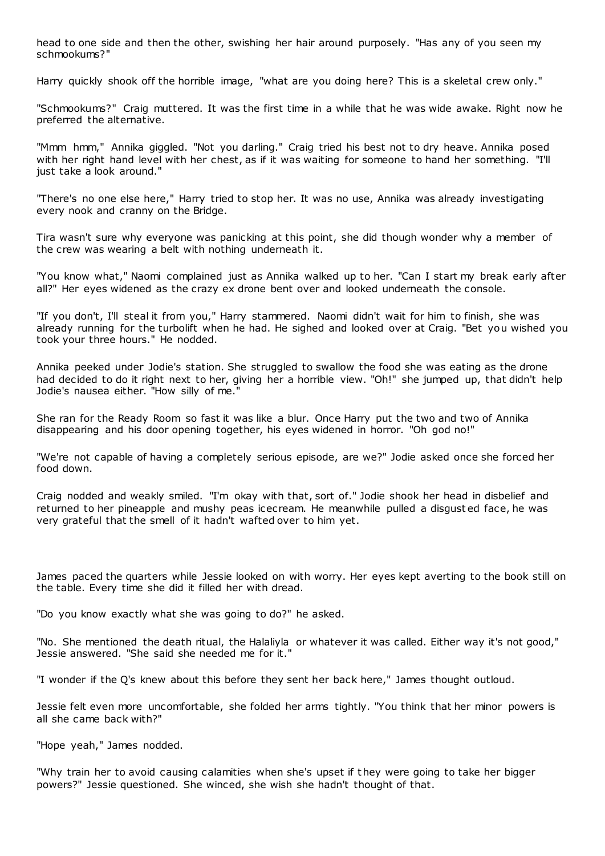head to one side and then the other, swishing her hair around purposely. "Has any of you seen my schmookums?"

Harry quickly shook off the horrible image, "what are you doing here? This is a skeletal crew only."

"Schmookums?" Craig muttered. It was the first time in a while that he was wide awake. Right now he preferred the alternative.

"Mmm hmm," Annika giggled. "Not you darling." Craig tried his best not to dry heave. Annika posed with her right hand level with her chest, as if it was waiting for someone to hand her something. "I'll just take a look around."

"There's no one else here," Harry tried to stop her. It was no use, Annika was already investigating every nook and cranny on the Bridge.

Tira wasn't sure why everyone was panicking at this point, she did though wonder why a member of the crew was wearing a belt with nothing underneath it.

"You know what," Naomi complained just as Annika walked up to her. "Can I start my break early after all?" Her eyes widened as the crazy ex drone bent over and looked underneath the console.

"If you don't, I'll steal it from you," Harry stammered. Naomi didn't wait for him to finish, she was already running for the turbolift when he had. He sighed and looked over at Craig. "Bet you wished you took your three hours." He nodded.

Annika peeked under Jodie's station. She struggled to swallow the food she was eating as the drone had decided to do it right next to her, giving her a horrible view. "Oh!" she jumped up, that didn't help Jodie's nausea either. "How silly of me."

She ran for the Ready Room so fast it was like a blur. Once Harry put the two and two of Annika disappearing and his door opening together, his eyes widened in horror. "Oh god no!"

"We're not capable of having a completely serious episode, are we?" Jodie asked once she forced her food down.

Craig nodded and weakly smiled. "I'm okay with that, sort of." Jodie shook her head in disbelief and returned to her pineapple and mushy peas icecream. He meanwhile pulled a disgust ed face, he was very grateful that the smell of it hadn't wafted over to him yet.

James paced the quarters while Jessie looked on with worry. Her eyes kept averting to the book still on the table. Every time she did it filled her with dread.

"Do you know exactly what she was going to do?" he asked.

"No. She mentioned the death ritual, the Halaliyla or whatever it was called. Either way it's not good," Jessie answered. "She said she needed me for it."

"I wonder if the Q's knew about this before they sent her back here," James thought outloud.

Jessie felt even more uncomfortable, she folded her arms tightly. "You think that her minor powers is all she came back with?"

"Hope yeah," James nodded.

"Why train her to avoid causing calamities when she's upset if they were going to take her bigger powers?" Jessie questioned. She winced, she wish she hadn't thought of that.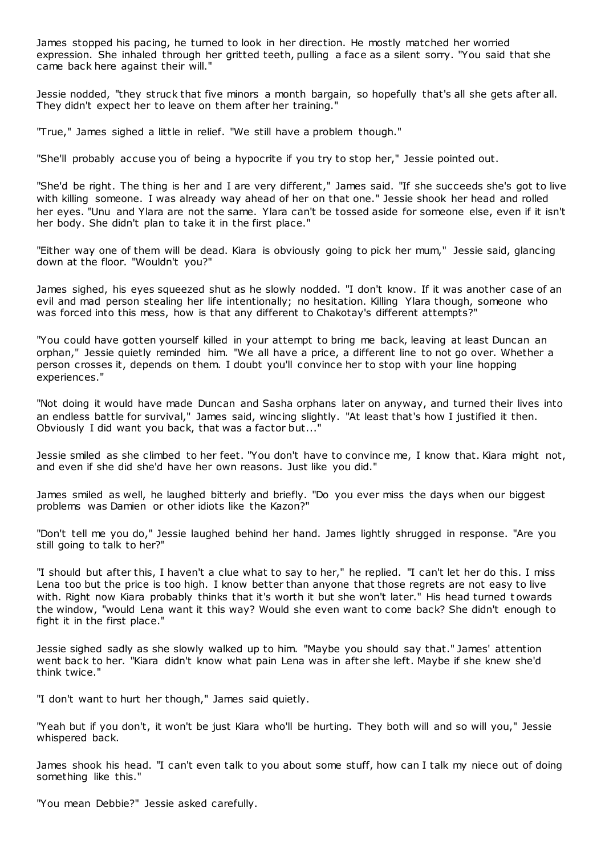James stopped his pacing, he turned to look in her direction. He mostly matched her worried expression. She inhaled through her gritted teeth, pulling a face as a silent sorry. "You said that she came back here against their will."

Jessie nodded, "they struck that five minors a month bargain, so hopefully that's all she gets after all. They didn't expect her to leave on them after her training."

"True," James sighed a little in relief. "We still have a problem though."

"She'll probably accuse you of being a hypocrite if you try to stop her," Jessie pointed out.

"She'd be right. The thing is her and I are very different," James said. "If she succeeds she's got to live with killing someone. I was already way ahead of her on that one." Jessie shook her head and rolled her eyes. "Unu and Ylara are not the same. Ylara can't be tossed aside for someone else, even if it isn't her body. She didn't plan to take it in the first place."

"Either way one of them will be dead. Kiara is obviously going to pick her mum," Jessie said, glancing down at the floor. "Wouldn't you?"

James sighed, his eyes squeezed shut as he slowly nodded. "I don't know. If it was another case of an evil and mad person stealing her life intentionally; no hesitation. Killing Ylara though, someone who was forced into this mess, how is that any different to Chakotay's different attempts?"

"You could have gotten yourself killed in your attempt to bring me back, leaving at least Duncan an orphan," Jessie quietly reminded him. "We all have a price, a different line to not go over. Whether a person crosses it, depends on them. I doubt you'll convince her to stop with your line hopping experiences."

"Not doing it would have made Duncan and Sasha orphans later on anyway, and turned their lives into an endless battle for survival," James said, wincing slightly. "At least that's how I justified it then. Obviously I did want you back, that was a factor but..."

Jessie smiled as she climbed to her feet. "You don't have to convince me, I know that. Kiara might not, and even if she did she'd have her own reasons. Just like you did."

James smiled as well, he laughed bitterly and briefly. "Do you ever miss the days when our biggest problems was Damien or other idiots like the Kazon?"

"Don't tell me you do," Jessie laughed behind her hand. James lightly shrugged in response. "Are you still going to talk to her?"

"I should but after this, I haven't a clue what to say to her," he replied. "I can't let her do this. I miss Lena too but the price is too high. I know better than anyone that those regrets are not easy to live with. Right now Kiara probably thinks that it's worth it but she won't later." His head turned t owards the window, "would Lena want it this way? Would she even want to come back? She didn't enough to fight it in the first place."

Jessie sighed sadly as she slowly walked up to him. "Maybe you should say that." James' attention went back to her. "Kiara didn't know what pain Lena was in after she left. Maybe if she knew she'd think twice."

"I don't want to hurt her though," James said quietly.

"Yeah but if you don't, it won't be just Kiara who'll be hurting. They both will and so will you," Jessie whispered back.

James shook his head. "I can't even talk to you about some stuff, how can I talk my niece out of doing something like this."

"You mean Debbie?" Jessie asked carefully.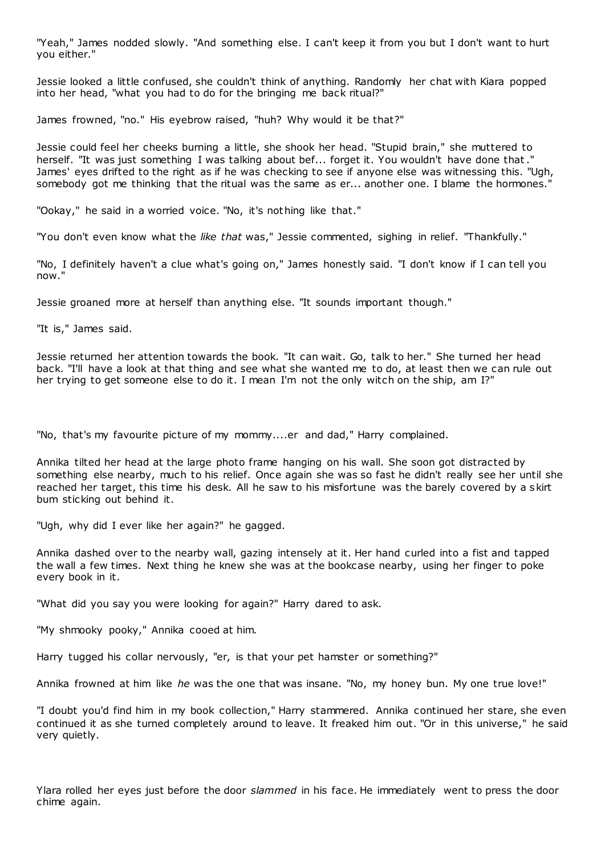"Yeah," James nodded slowly. "And something else. I can't keep it from you but I don't want to hurt you either."

Jessie looked a little confused, she couldn't think of anything. Randomly her chat with Kiara popped into her head, "what you had to do for the bringing me back ritual?"

James frowned, "no." His eyebrow raised, "huh? Why would it be that?"

Jessie could feel her cheeks burning a little, she shook her head. "Stupid brain," she muttered to herself. "It was just something I was talking about bef... forget it. You wouldn't have done that." James' eyes drifted to the right as if he was checking to see if anyone else was witnessing this. "Ugh, somebody got me thinking that the ritual was the same as er... another one. I blame the hormones."

"Ookay," he said in a worried voice. "No, it's nothing like that."

"You don't even know what the *like that* was," Jessie commented, sighing in relief. "Thankfully."

"No, I definitely haven't a clue what's going on," James honestly said. "I don't know if I can tell you now."

Jessie groaned more at herself than anything else. "It sounds important though."

"It is," James said.

Jessie returned her attention towards the book. "It can wait. Go, talk to her." She turned her head back. "I'll have a look at that thing and see what she wanted me to do, at least then we can rule out her trying to get someone else to do it. I mean I'm not the only witch on the ship, am I?"

"No, that's my favourite picture of my mommy....er and dad," Harry complained.

Annika tilted her head at the large photo frame hanging on his wall. She soon got distracted by something else nearby, much to his relief. Once again she was so fast he didn't really see her until she reached her target, this time his desk. All he saw to his misfortune was the barely covered by a skirt bum sticking out behind it.

"Ugh, why did I ever like her again?" he gagged.

Annika dashed over to the nearby wall, gazing intensely at it. Her hand curled into a fist and tapped the wall a few times. Next thing he knew she was at the bookcase nearby, using her finger to poke every book in it.

"What did you say you were looking for again?" Harry dared to ask.

"My shmooky pooky," Annika cooed at him.

Harry tugged his collar nervously, "er, is that your pet hamster or something?"

Annika frowned at him like *he* was the one that was insane. "No, my honey bun. My one true love!"

"I doubt you'd find him in my book collection," Harry stammered. Annika continued her stare, she even continued it as she turned completely around to leave. It freaked him out. "Or in this universe," he said very quietly.

Ylara rolled her eyes just before the door *slammed* in his face. He immediately went to press the door chime again.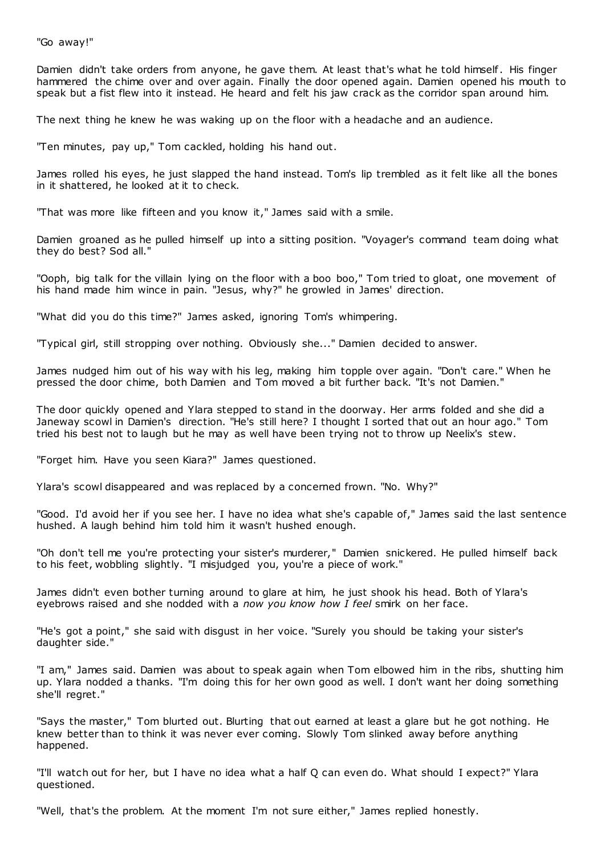"Go away!"

Damien didn't take orders from anyone, he gave them. At least that's what he told himself. His finger hammered the chime over and over again. Finally the door opened again. Damien opened his mouth to speak but a fist flew into it instead. He heard and felt his jaw crack as the corridor span around him.

The next thing he knew he was waking up on the floor with a headache and an audience.

"Ten minutes, pay up," Tom cackled, holding his hand out.

James rolled his eyes, he just slapped the hand instead. Tom's lip trembled as it felt like all the bones in it shattered, he looked at it to check.

"That was more like fifteen and you know it," James said with a smile.

Damien groaned as he pulled himself up into a sitting position. "Voyager's command team doing what they do best? Sod all."

"Ooph, big talk for the villain lying on the floor with a boo boo," Tom tried to gloat, one movement of his hand made him wince in pain. "Jesus, why?" he growled in James' direction.

"What did you do this time?" James asked, ignoring Tom's whimpering.

"Typical girl, still stropping over nothing. Obviously she..." Damien decided to answer.

James nudged him out of his way with his leg, making him topple over again. "Don't care." When he pressed the door chime, both Damien and Tom moved a bit further back. "It's not Damien."

The door quickly opened and Ylara stepped to stand in the doorway. Her arms folded and she did a Janeway scowl in Damien's direction. "He's still here? I thought I sorted that out an hour ago." Tom tried his best not to laugh but he may as well have been trying not to throw up Neelix's stew.

"Forget him. Have you seen Kiara?" James questioned.

Ylara's scowl disappeared and was replaced by a concerned frown. "No. Why?"

"Good. I'd avoid her if you see her. I have no idea what she's capable of," James said the last sentence hushed. A laugh behind him told him it wasn't hushed enough.

"Oh don't tell me you're protecting your sister's murderer," Damien snickered. He pulled himself back to his feet, wobbling slightly. "I misjudged you, you're a piece of work."

James didn't even bother turning around to glare at him, he just shook his head. Both of Ylara's eyebrows raised and she nodded with a *now you know how I feel* smirk on her face.

"He's got a point," she said with disgust in her voice. "Surely you should be taking your sister's daughter side."

"I am," James said. Damien was about to speak again when Tom elbowed him in the ribs, shutting him up. Ylara nodded a thanks. "I'm doing this for her own good as well. I don't want her doing something she'll regret."

"Says the master," Tom blurted out. Blurting that out earned at least a glare but he got nothing. He knew better than to think it was never ever coming. Slowly Tom slinked away before anything happened.

"I'll watch out for her, but I have no idea what a half Q can even do. What should I expect?" Ylara questioned.

"Well, that's the problem. At the moment I'm not sure either," James replied honestly.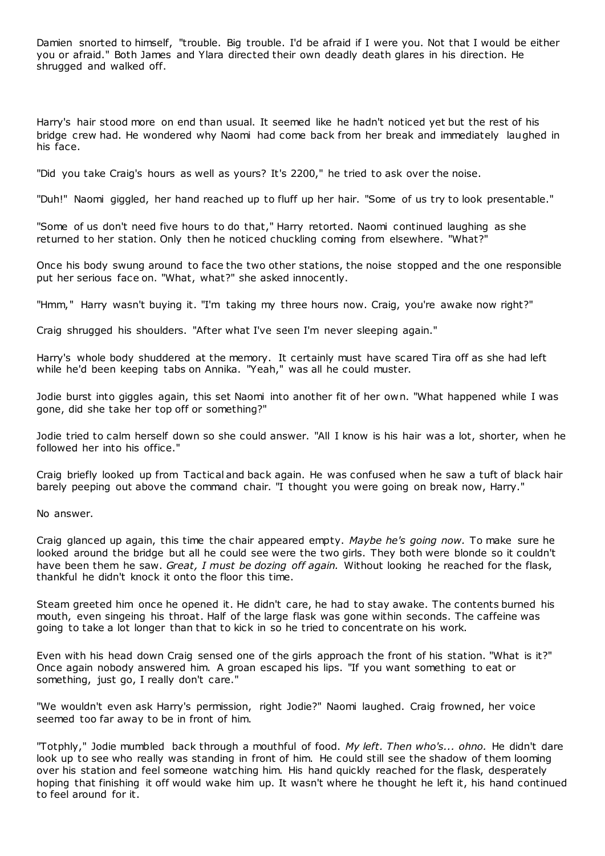Damien snorted to himself, "trouble. Big trouble. I'd be afraid if I were you. Not that I would be either you or afraid." Both James and Ylara directed their own deadly death glares in his direction. He shrugged and walked off.

Harry's hair stood more on end than usual. It seemed like he hadn't noticed yet but the rest of his bridge crew had. He wondered why Naomi had come back from her break and immediately laughed in his face.

"Did you take Craig's hours as well as yours? It's 2200," he tried to ask over the noise.

"Duh!" Naomi giggled, her hand reached up to fluff up her hair. "Some of us try to look presentable."

"Some of us don't need five hours to do that," Harry retorted. Naomi continued laughing as she returned to her station. Only then he noticed chuckling coming from elsewhere. "What?"

Once his body swung around to face the two other stations, the noise stopped and the one responsible put her serious face on. "What, what?" she asked innocently.

"Hmm," Harry wasn't buying it. "I'm taking my three hours now. Craig, you're awake now right?"

Craig shrugged his shoulders. "After what I've seen I'm never sleeping again."

Harry's whole body shuddered at the memory. It certainly must have scared Tira off as she had left while he'd been keeping tabs on Annika. "Yeah," was all he could muster.

Jodie burst into giggles again, this set Naomi into another fit of her own. "What happened while I was gone, did she take her top off or something?"

Jodie tried to calm herself down so she could answer. "All I know is his hair was a lot, shorter, when he followed her into his office."

Craig briefly looked up from Tactical and back again. He was confused when he saw a tuft of black hair barely peeping out above the command chair. "I thought you were going on break now, Harry."

No answer.

Craig glanced up again, this time the chair appeared empty. *Maybe he's going now.* To make sure he looked around the bridge but all he could see were the two girls. They both were blonde so it couldn't have been them he saw. *Great, I must be dozing off again.* Without looking he reached for the flask, thankful he didn't knock it onto the floor this time.

Steam greeted him once he opened it. He didn't care, he had to stay awake. The contents burned his mouth, even singeing his throat. Half of the large flask was gone within seconds. The caffeine was going to take a lot longer than that to kick in so he tried to concentrate on his work.

Even with his head down Craig sensed one of the girls approach the front of his station. "What is it?" Once again nobody answered him. A groan escaped his lips. "If you want something to eat or something, just go, I really don't care."

"We wouldn't even ask Harry's permission, right Jodie?" Naomi laughed. Craig frowned, her voice seemed too far away to be in front of him.

"Totphly," Jodie mumbled back through a mouthful of food. *My left. Then who's... ohno.* He didn't dare look up to see who really was standing in front of him. He could still see the shadow of them looming over his station and feel someone watching him. His hand quickly reached for the flask, desperately hoping that finishing it off would wake him up. It wasn't where he thought he left it, his hand continued to feel around for it.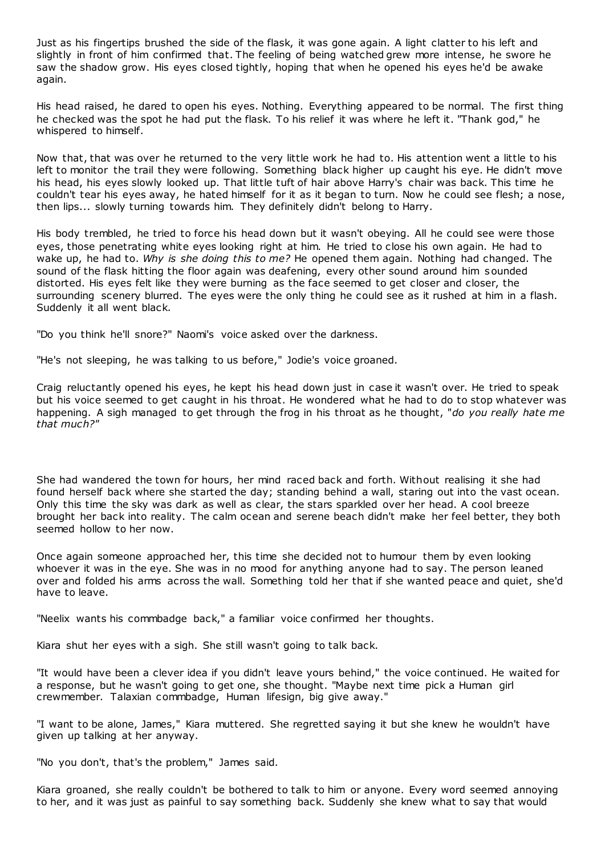Just as his fingertips brushed the side of the flask, it was gone again. A light clatter to his left and slightly in front of him confirmed that. The feeling of being watched grew more intense, he swore he saw the shadow grow. His eyes closed tightly, hoping that when he opened his eyes he'd be awake again.

His head raised, he dared to open his eyes. Nothing. Everything appeared to be normal. The first thing he checked was the spot he had put the flask. To his relief it was where he left it. "Thank god," he whispered to himself.

Now that, that was over he returned to the very little work he had to. His attention went a little to his left to monitor the trail they were following. Something black higher up caught his eye. He didn't move his head, his eyes slowly looked up. That little tuft of hair above Harry's chair was back. This time he couldn't tear his eyes away, he hated himself for it as it began to turn. Now he could see flesh; a nose, then lips... slowly turning towards him. They definitely didn't belong to Harry.

His body trembled, he tried to force his head down but it wasn't obeying. All he could see were those eyes, those penetrating white eyes looking right at him. He tried to close his own again. He had to wake up, he had to. *Why is she doing this to me?* He opened them again. Nothing had changed. The sound of the flask hitting the floor again was deafening, every other sound around him sounded distorted. His eyes felt like they were burning as the face seemed to get closer and closer, the surrounding scenery blurred. The eyes were the only thing he could see as it rushed at him in a flash. Suddenly it all went black.

"Do you think he'll snore?" Naomi's voice asked over the darkness.

"He's not sleeping, he was talking to us before," Jodie's voice groaned.

Craig reluctantly opened his eyes, he kept his head down just in case it wasn't over. He tried to speak but his voice seemed to get caught in his throat. He wondered what he had to do to stop whatever was happening. A sigh managed to get through the frog in his throat as he thought, "*do you really hate me that much?"*

She had wandered the town for hours, her mind raced back and forth. Without realising it she had found herself back where she started the day; standing behind a wall, staring out into the vast ocean. Only this time the sky was dark as well as clear, the stars sparkled over her head. A cool breeze brought her back into reality. The calm ocean and serene beach didn't make her feel better, they both seemed hollow to her now.

Once again someone approached her, this time she decided not to humour them by even looking whoever it was in the eye. She was in no mood for anything anyone had to say. The person leaned over and folded his arms across the wall. Something told her that if she wanted peace and quiet, she'd have to leave.

"Neelix wants his commbadge back," a familiar voice confirmed her thoughts.

Kiara shut her eyes with a sigh. She still wasn't going to talk back.

"It would have been a clever idea if you didn't leave yours behind," the voice continued. He waited for a response, but he wasn't going to get one, she thought. "Maybe next time pick a Human girl crewmember. Talaxian commbadge, Human lifesign, big give away."

"I want to be alone, James," Kiara muttered. She regretted saying it but she knew he wouldn't have given up talking at her anyway.

"No you don't, that's the problem," James said.

Kiara groaned, she really couldn't be bothered to talk to him or anyone. Every word seemed annoying to her, and it was just as painful to say something back. Suddenly she knew what to say that would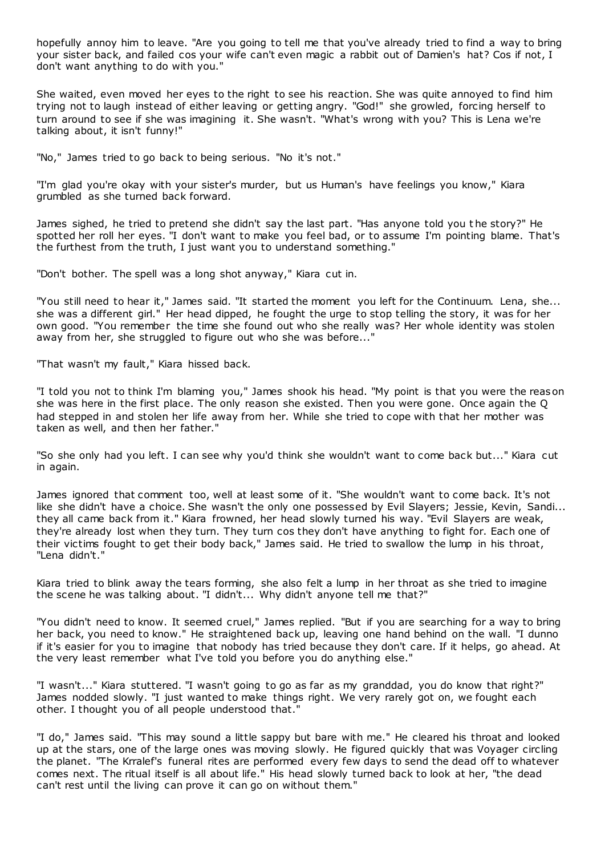hopefully annoy him to leave. "Are you going to tell me that you've already tried to find a way to bring your sister back, and failed cos your wife can't even magic a rabbit out of Damien's hat? Cos if not, I don't want anything to do with you."

She waited, even moved her eyes to the right to see his reaction. She was quite annoyed to find him trying not to laugh instead of either leaving or getting angry. "God!" she growled, forcing herself to turn around to see if she was imagining it. She wasn't. "What's wrong with you? This is Lena we're talking about, it isn't funny!"

"No," James tried to go back to being serious. "No it's not."

"I'm glad you're okay with your sister's murder, but us Human's have feelings you know," Kiara grumbled as she turned back forward.

James sighed, he tried to pretend she didn't say the last part. "Has anyone told you t he story?" He spotted her roll her eyes. "I don't want to make you feel bad, or to assume I'm pointing blame. That's the furthest from the truth, I just want you to understand something."

"Don't bother. The spell was a long shot anyway," Kiara cut in.

"You still need to hear it," James said. "It started the moment you left for the Continuum. Lena, she... she was a different girl." Her head dipped, he fought the urge to stop telling the story, it was for her own good. "You remember the time she found out who she really was? Her whole identity was stolen away from her, she struggled to figure out who she was before..."

"That wasn't my fault," Kiara hissed back.

"I told you not to think I'm blaming you," James shook his head. "My point is that you were the reason she was here in the first place. The only reason she existed. Then you were gone. Once again the Q had stepped in and stolen her life away from her. While she tried to cope with that her mother was taken as well, and then her father."

"So she only had you left. I can see why you'd think she wouldn't want to come back but..." Kiara cut in again.

James ignored that comment too, well at least some of it. "She wouldn't want to come back. It's not like she didn't have a choice. She wasn't the only one possessed by Evil Slayers; Jessie, Kevin, Sandi... they all came back from it." Kiara frowned, her head slowly turned his way. "Evil Slayers are weak, they're already lost when they turn. They turn cos they don't have anything to fight for. Each one of their victims fought to get their body back," James said. He tried to swallow the lump in his throat, "Lena didn't."

Kiara tried to blink away the tears forming, she also felt a lump in her throat as she tried to imagine the scene he was talking about. "I didn't... Why didn't anyone tell me that?"

"You didn't need to know. It seemed cruel," James replied. "But if you are searching for a way to bring her back, you need to know." He straightened back up, leaving one hand behind on the wall. "I dunno if it's easier for you to imagine that nobody has tried because they don't care. If it helps, go ahead. At the very least remember what I've told you before you do anything else."

"I wasn't..." Kiara stuttered. "I wasn't going to go as far as my granddad, you do know that right?" James nodded slowly. "I just wanted to make things right. We very rarely got on, we fought each other. I thought you of all people understood that."

"I do," James said. "This may sound a little sappy but bare with me." He cleared his throat and looked up at the stars, one of the large ones was moving slowly. He figured quickly that was Voyager circling the planet. "The Krralef's funeral rites are performed every few days to send the dead off to whatever comes next. The ritual itself is all about life." His head slowly turned back to look at her, "the dead can't rest until the living can prove it can go on without them."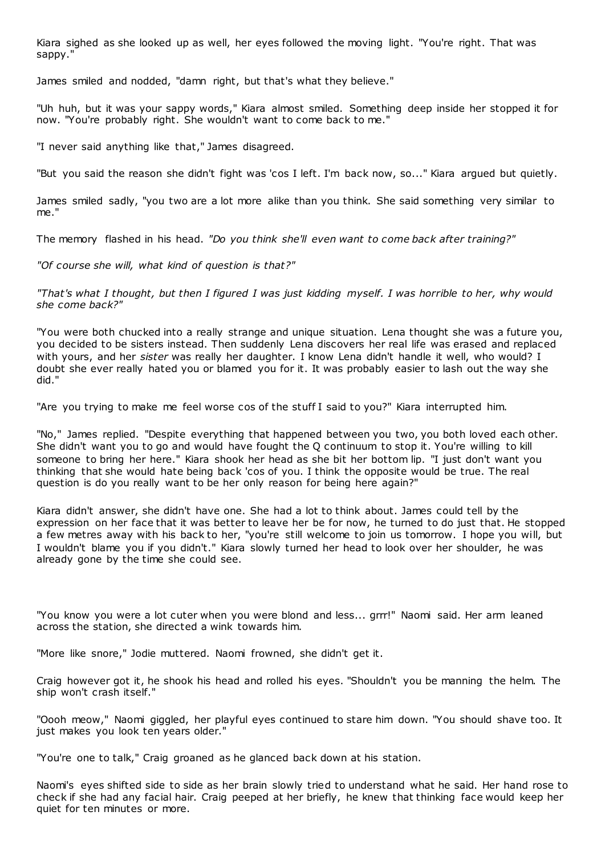Kiara sighed as she looked up as well, her eyes followed the moving light. "You're right. That was sappy."

James smiled and nodded, "damn right, but that's what they believe."

"Uh huh, but it was your sappy words," Kiara almost smiled. Something deep inside her stopped it for now. "You're probably right. She wouldn't want to come back to me."

"I never said anything like that," James disagreed.

"But you said the reason she didn't fight was 'cos I left. I'm back now, so..." Kiara argued but quietly.

James smiled sadly, "you two are a lot more alike than you think. She said something very similar to me."

The memory flashed in his head. *"Do you think she'll even want to come back after training?"*

*"Of course she will, what kind of question is that?"*

*"That's what I thought, but then I figured I was just kidding myself. I was horrible to her, why would she come back?"*

"You were both chucked into a really strange and unique situation. Lena thought she was a future you, you decided to be sisters instead. Then suddenly Lena discovers her real life was erased and replaced with yours, and her *sister* was really her daughter. I know Lena didn't handle it well, who would? I doubt she ever really hated you or blamed you for it. It was probably easier to lash out the way she did."

"Are you trying to make me feel worse cos of the stuff I said to you?" Kiara interrupted him.

"No," James replied. "Despite everything that happened between you two, you both loved each other. She didn't want you to go and would have fought the Q continuum to stop it. You're willing to kill someone to bring her here." Kiara shook her head as she bit her bottom lip. "I just don't want you thinking that she would hate being back 'cos of you. I think the opposite would be true. The real question is do you really want to be her only reason for being here again?"

Kiara didn't answer, she didn't have one. She had a lot to think about. James could tell by the expression on her face that it was better to leave her be for now, he turned to do just that. He stopped a few metres away with his back to her, "you're still welcome to join us tomorrow. I hope you will, but I wouldn't blame you if you didn't." Kiara slowly turned her head to look over her shoulder, he was already gone by the time she could see.

"You know you were a lot cuter when you were blond and less... grrr!" Naomi said. Her arm leaned across the station, she directed a wink towards him.

"More like snore," Jodie muttered. Naomi frowned, she didn't get it.

Craig however got it, he shook his head and rolled his eyes. "Shouldn't you be manning the helm. The ship won't crash itself."

"Oooh meow," Naomi giggled, her playful eyes continued to stare him down. "You should shave too. It just makes you look ten years older."

"You're one to talk," Craig groaned as he glanced back down at his station.

Naomi's eyes shifted side to side as her brain slowly tried to understand what he said. Her hand rose to check if she had any facial hair. Craig peeped at her briefly, he knew that thinking face would keep her quiet for ten minutes or more.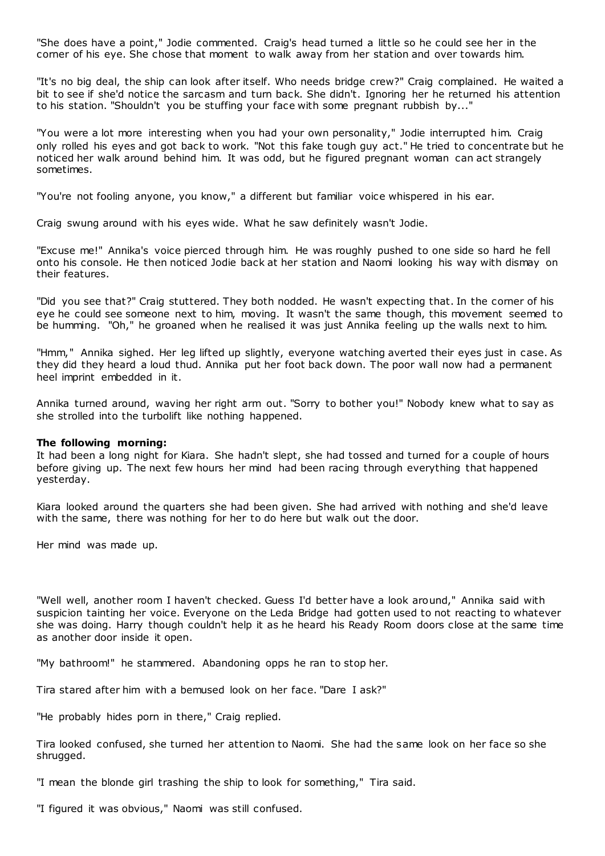"She does have a point," Jodie commented. Craig's head turned a little so he could see her in the corner of his eye. She chose that moment to walk away from her station and over towards him.

"It's no big deal, the ship can look after itself. Who needs bridge crew?" Craig complained. He waited a bit to see if she'd notice the sarcasm and turn back. She didn't. Ignoring her he returned his attention to his station. "Shouldn't you be stuffing your face with some pregnant rubbish by..."

"You were a lot more interesting when you had your own personality," Jodie interrupted him. Craig only rolled his eyes and got back to work. "Not this fake tough guy act." He tried to concentrate but he noticed her walk around behind him. It was odd, but he figured pregnant woman can act strangely sometimes.

"You're not fooling anyone, you know," a different but familiar voice whispered in his ear.

Craig swung around with his eyes wide. What he saw definitely wasn't Jodie.

"Excuse me!" Annika's voice pierced through him. He was roughly pushed to one side so hard he fell onto his console. He then noticed Jodie back at her station and Naomi looking his way with dismay on their features.

"Did you see that?" Craig stuttered. They both nodded. He wasn't expecting that. In the corner of his eye he could see someone next to him, moving. It wasn't the same though, this movement seemed to be humming. "Oh," he groaned when he realised it was just Annika feeling up the walls next to him.

"Hmm," Annika sighed. Her leg lifted up slightly, everyone watching averted their eyes just in case. As they did they heard a loud thud. Annika put her foot back down. The poor wall now had a permanent heel imprint embedded in it.

Annika turned around, waving her right arm out. "Sorry to bother you!" Nobody knew what to say as she strolled into the turbolift like nothing happened.

## **The following morning:**

It had been a long night for Kiara. She hadn't slept, she had tossed and turned for a couple of hours before giving up. The next few hours her mind had been racing through everything that happened yesterday.

Kiara looked around the quarters she had been given. She had arrived with nothing and she'd leave with the same, there was nothing for her to do here but walk out the door.

Her mind was made up.

"Well well, another room I haven't checked. Guess I'd better have a look around," Annika said with suspicion tainting her voice. Everyone on the Leda Bridge had gotten used to not reacting to whatever she was doing. Harry though couldn't help it as he heard his Ready Room doors close at the same time as another door inside it open.

"My bathroom!" he stammered. Abandoning opps he ran to stop her.

Tira stared after him with a bemused look on her face. "Dare I ask?"

"He probably hides porn in there," Craig replied.

Tira looked confused, she turned her attention to Naomi. She had the same look on her face so she shrugged.

"I mean the blonde girl trashing the ship to look for something," Tira said.

"I figured it was obvious," Naomi was still confused.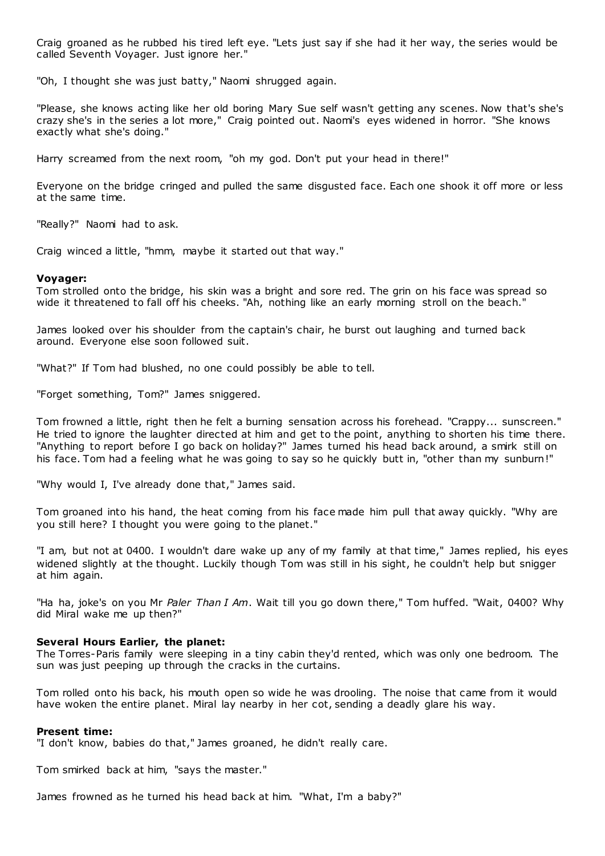Craig groaned as he rubbed his tired left eye. "Lets just say if she had it her way, the series would be called Seventh Voyager. Just ignore her."

"Oh, I thought she was just batty," Naomi shrugged again.

"Please, she knows acting like her old boring Mary Sue self wasn't getting any scenes. Now that's she's crazy she's in the series a lot more," Craig pointed out. Naomi's eyes widened in horror. "She knows exactly what she's doing."

Harry screamed from the next room, "oh my god. Don't put your head in there!"

Everyone on the bridge cringed and pulled the same disgusted face. Each one shook it off more or less at the same time.

"Really?" Naomi had to ask.

Craig winced a little, "hmm, maybe it started out that way."

#### **Voyager:**

Tom strolled onto the bridge, his skin was a bright and sore red. The grin on his face was spread so wide it threatened to fall off his cheeks. "Ah, nothing like an early morning stroll on the beach."

James looked over his shoulder from the captain's chair, he burst out laughing and turned back around. Everyone else soon followed suit.

"What?" If Tom had blushed, no one could possibly be able to tell.

"Forget something, Tom?" James sniggered.

Tom frowned a little, right then he felt a burning sensation across his forehead. "Crappy... sunscreen." He tried to ignore the laughter directed at him and get to the point, anything to shorten his time there. "Anything to report before I go back on holiday?" James turned his head back around, a smirk still on his face. Tom had a feeling what he was going to say so he quickly butt in, "other than my sunburn!"

"Why would I, I've already done that," James said.

Tom groaned into his hand, the heat coming from his face made him pull that away quickly. "Why are you still here? I thought you were going to the planet."

"I am, but not at 0400. I wouldn't dare wake up any of my family at that time," James replied, his eyes widened slightly at the thought. Luckily though Tom was still in his sight, he couldn't help but snigger at him again.

"Ha ha, joke's on you Mr *Paler Than I Am*. Wait till you go down there," Tom huffed. "Wait, 0400? Why did Miral wake me up then?"

#### **Several Hours Earlier, the planet:**

The Torres-Paris family were sleeping in a tiny cabin they'd rented, which was only one bedroom. The sun was just peeping up through the cracks in the curtains.

Tom rolled onto his back, his mouth open so wide he was drooling. The noise that came from it would have woken the entire planet. Miral lay nearby in her cot, sending a deadly glare his way.

#### **Present time:**

"I don't know, babies do that," James groaned, he didn't really care.

Tom smirked back at him, "says the master."

James frowned as he turned his head back at him. "What, I'm a baby?"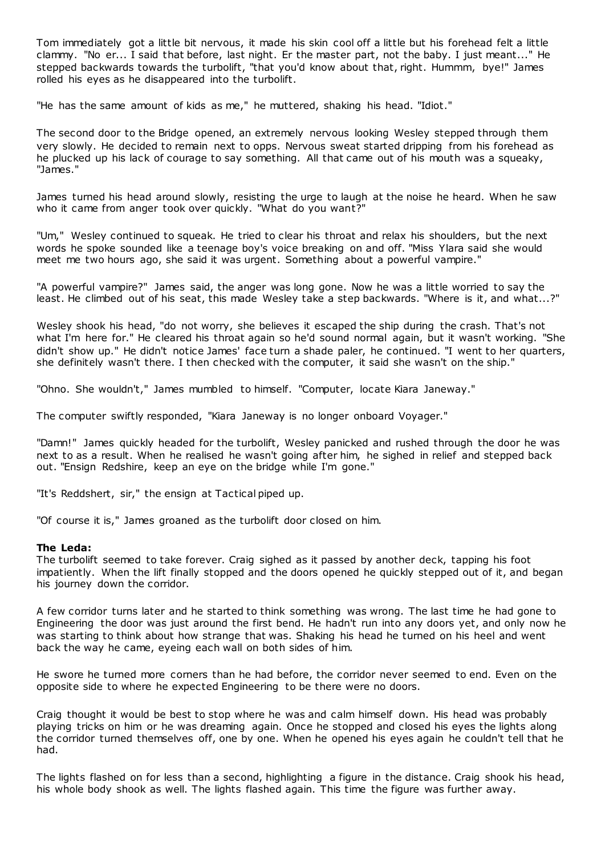Tom immediately got a little bit nervous, it made his skin cool off a little but his forehead felt a little clammy. "No er... I said that before, last night. Er the master part, not the baby. I just meant..." He stepped backwards towards the turbolift, "that you'd know about that, right. Hummm, bye!" James rolled his eyes as he disappeared into the turbolift.

"He has the same amount of kids as me," he muttered, shaking his head. "Idiot."

The second door to the Bridge opened, an extremely nervous looking Wesley stepped through them very slowly. He decided to remain next to opps. Nervous sweat started dripping from his forehead as he plucked up his lack of courage to say something. All that came out of his mouth was a squeaky, "James."

James turned his head around slowly, resisting the urge to laugh at the noise he heard. When he saw who it came from anger took over quickly. "What do you want?"

"Um," Wesley continued to squeak. He tried to clear his throat and relax his shoulders, but the next words he spoke sounded like a teenage boy's voice breaking on and off. "Miss Ylara said she would meet me two hours ago, she said it was urgent. Something about a powerful vampire."

"A powerful vampire?" James said, the anger was long gone. Now he was a little worried to say the least. He climbed out of his seat, this made Wesley take a step backwards. "Where is it, and what...?"

Wesley shook his head, "do not worry, she believes it escaped the ship during the crash. That's not what I'm here for." He cleared his throat again so he'd sound normal again, but it wasn't working. "She didn't show up." He didn't notice James' face turn a shade paler, he continued. "I went to her quarters, she definitely wasn't there. I then checked with the computer, it said she wasn't on the ship."

"Ohno. She wouldn't," James mumbled to himself. "Computer, locate Kiara Janeway."

The computer swiftly responded, "Kiara Janeway is no longer onboard Voyager."

"Damn!" James quickly headed for the turbolift, Wesley panicked and rushed through the door he was next to as a result. When he realised he wasn't going after him, he sighed in relief and stepped back out. "Ensign Redshire, keep an eye on the bridge while I'm gone."

"It's Reddshert, sir," the ensign at Tactical piped up.

"Of course it is," James groaned as the turbolift door closed on him.

#### **The Leda:**

The turbolift seemed to take forever. Craig sighed as it passed by another deck, tapping his foot impatiently. When the lift finally stopped and the doors opened he quickly stepped out of it, and began his journey down the corridor.

A few corridor turns later and he started to think something was wrong. The last time he had gone to Engineering the door was just around the first bend. He hadn't run into any doors yet, and only now he was starting to think about how strange that was. Shaking his head he turned on his heel and went back the way he came, eyeing each wall on both sides of him.

He swore he turned more corners than he had before, the corridor never seemed to end. Even on the opposite side to where he expected Engineering to be there were no doors.

Craig thought it would be best to stop where he was and calm himself down. His head was probably playing tricks on him or he was dreaming again. Once he stopped and closed his eyes the lights along the corridor turned themselves off, one by one. When he opened his eyes again he couldn't tell that he had.

The lights flashed on for less than a second, highlighting a figure in the distance. Craig shook his head, his whole body shook as well. The lights flashed again. This time the figure was further away.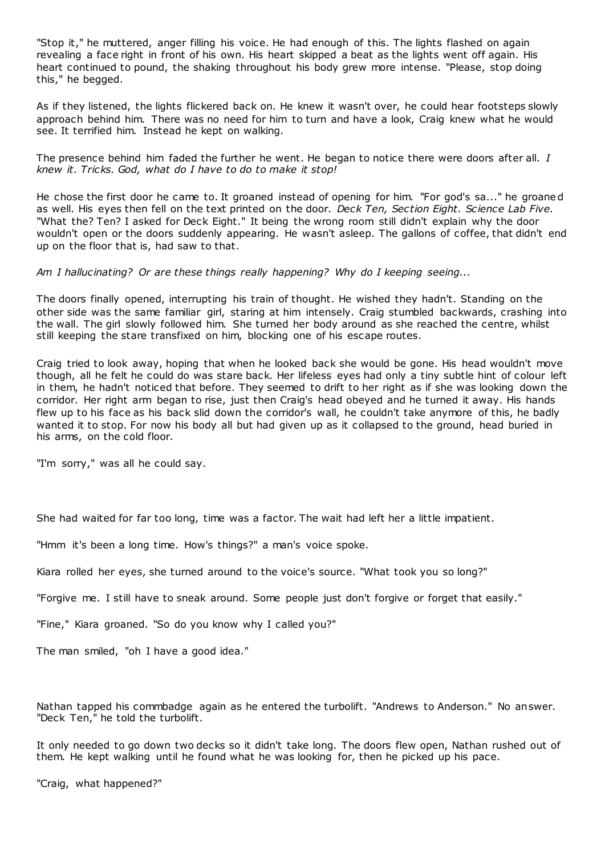"Stop it," he muttered, anger filling his voice. He had enough of this. The lights flashed on again revealing a face right in front of his own. His heart skipped a beat as the lights went off again. His heart continued to pound, the shaking throughout his body grew more intense. "Please, stop doing this," he begged.

As if they listened, the lights flickered back on. He knew it wasn't over, he could hear footsteps slowly approach behind him. There was no need for him to turn and have a look, Craig knew what he would see. It terrified him. Instead he kept on walking.

The presence behind him faded the further he went. He began to notice there were doors after all. *I knew it. Tricks. God, what do I have to do to make it stop!*

He chose the first door he came to. It groaned instead of opening for him. "For god's sa..." he groaned as well. His eyes then fell on the text printed on the door. *Deck Ten, Section Eight. Science Lab Five.* "What the? Ten? I asked for Deck Eight." It being the wrong room still didn't explain why the door wouldn't open or the doors suddenly appearing. He wasn't asleep. The gallons of coffee, that didn't end up on the floor that is, had saw to that.

*Am I hallucinating? Or are these things really happening? Why do I keeping seeing...*

The doors finally opened, interrupting his train of thought. He wished they hadn't. Standing on the other side was the same familiar girl, staring at him intensely. Craig stumbled backwards, crashing into the wall. The girl slowly followed him. She turned her body around as she reached the centre, whilst still keeping the stare transfixed on him, blocking one of his escape routes.

Craig tried to look away, hoping that when he looked back she would be gone. His head wouldn't move though, all he felt he could do was stare back. Her lifeless eyes had only a tiny subtle hint of colour left in them, he hadn't noticed that before. They seemed to drift to her right as if she was looking down the corridor. Her right arm began to rise, just then Craig's head obeyed and he turned it away. His hands flew up to his face as his back slid down the corridor's wall, he couldn't take anymore of this, he badly wanted it to stop. For now his body all but had given up as it collapsed to the ground, head buried in his arms, on the cold floor.

"I'm sorry," was all he could say.

She had waited for far too long, time was a factor. The wait had left her a little impatient.

"Hmm it's been a long time. How's things?" a man's voice spoke.

Kiara rolled her eyes, she turned around to the voice's source. "What took you so long?"

"Forgive me. I still have to sneak around. Some people just don't forgive or forget that easily."

"Fine," Kiara groaned. "So do you know why I called you?"

The man smiled, "oh I have a good idea."

Nathan tapped his commbadge again as he entered the turbolift. "Andrews to Anderson." No answer. "Deck Ten," he told the turbolift.

It only needed to go down two decks so it didn't take long. The doors flew open, Nathan rushed out of them. He kept walking until he found what he was looking for, then he picked up his pace.

"Craig, what happened?"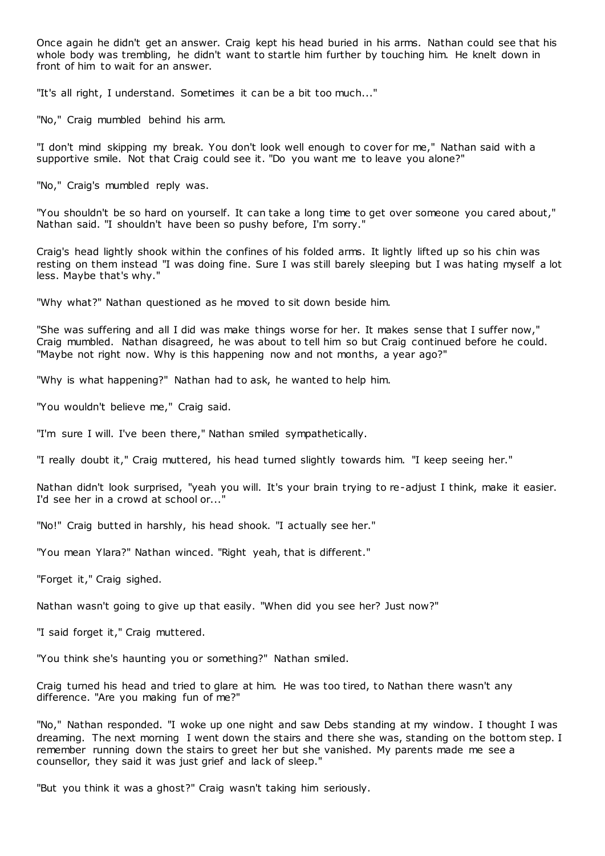Once again he didn't get an answer. Craig kept his head buried in his arms. Nathan could see that his whole body was trembling, he didn't want to startle him further by touching him. He knelt down in front of him to wait for an answer.

"It's all right, I understand. Sometimes it can be a bit too much..."

"No," Craig mumbled behind his arm.

"I don't mind skipping my break. You don't look well enough to cover for me," Nathan said with a supportive smile. Not that Craig could see it. "Do you want me to leave you alone?"

"No," Craig's mumbled reply was.

"You shouldn't be so hard on yourself. It can take a long time to get over someone you cared about," Nathan said. "I shouldn't have been so pushy before, I'm sorry."

Craig's head lightly shook within the confines of his folded arms. It lightly lifted up so his chin was resting on them instead "I was doing fine. Sure I was still barely sleeping but I was hating myself a lot less. Maybe that's why."

"Why what?" Nathan questioned as he moved to sit down beside him.

"She was suffering and all I did was make things worse for her. It makes sense that I suffer now," Craig mumbled. Nathan disagreed, he was about to tell him so but Craig continued before he could. "Maybe not right now. Why is this happening now and not months, a year ago?"

"Why is what happening?" Nathan had to ask, he wanted to help him.

"You wouldn't believe me," Craig said.

"I'm sure I will. I've been there," Nathan smiled sympathetically.

"I really doubt it," Craig muttered, his head turned slightly towards him. "I keep seeing her."

Nathan didn't look surprised, "yeah you will. It's your brain trying to re-adjust I think, make it easier. I'd see her in a crowd at school or...

"No!" Craig butted in harshly, his head shook. "I actually see her."

"You mean Ylara?" Nathan winced. "Right yeah, that is different."

"Forget it," Craig sighed.

Nathan wasn't going to give up that easily. "When did you see her? Just now?"

"I said forget it," Craig muttered.

"You think she's haunting you or something?" Nathan smiled.

Craig turned his head and tried to glare at him. He was too tired, to Nathan there wasn't any difference. "Are you making fun of me?"

"No," Nathan responded. "I woke up one night and saw Debs standing at my window. I thought I was dreaming. The next morning I went down the stairs and there she was, standing on the bottom step. I remember running down the stairs to greet her but she vanished. My parents made me see a counsellor, they said it was just grief and lack of sleep."

"But you think it was a ghost?" Craig wasn't taking him seriously.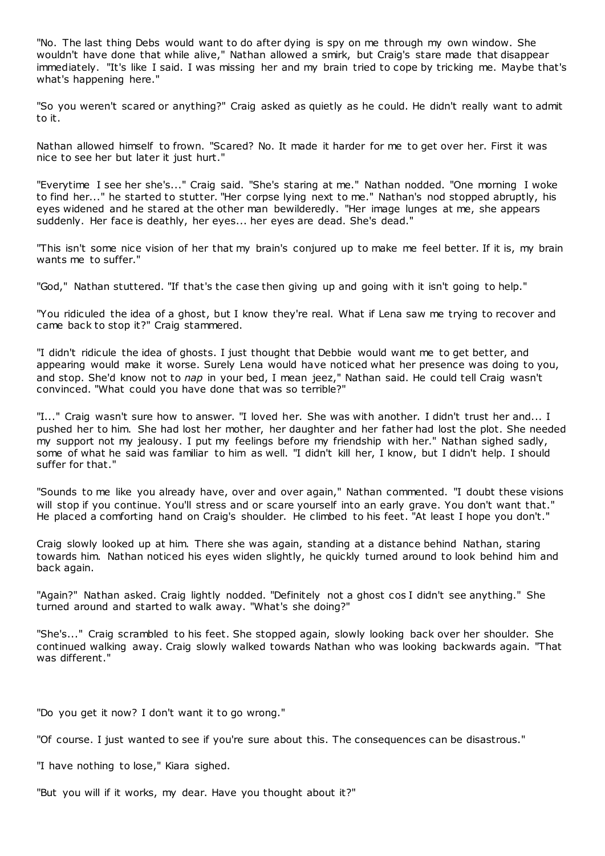"No. The last thing Debs would want to do after dying is spy on me through my own window. She wouldn't have done that while alive," Nathan allowed a smirk, but Craig's stare made that disappear immediately. "It's like I said. I was missing her and my brain tried to cope by tricking me. Maybe that's what's happening here."

"So you weren't scared or anything?" Craig asked as quietly as he could. He didn't really want to admit to it.

Nathan allowed himself to frown. "Scared? No. It made it harder for me to get over her. First it was nice to see her but later it just hurt."

"Everytime I see her she's..." Craig said. "She's staring at me." Nathan nodded. "One morning I woke to find her..." he started to stutter. "Her corpse lying next to me." Nathan's nod stopped abruptly, his eyes widened and he stared at the other man bewilderedly. "Her image lunges at me, she appears suddenly. Her face is deathly, her eyes... her eyes are dead. She's dead."

"This isn't some nice vision of her that my brain's conjured up to make me feel better. If it is, my brain wants me to suffer."

"God," Nathan stuttered. "If that's the case then giving up and going with it isn't going to help."

"You ridiculed the idea of a ghost, but I know they're real. What if Lena saw me trying to recover and came back to stop it?" Craig stammered.

"I didn't ridicule the idea of ghosts. I just thought that Debbie would want me to get better, and appearing would make it worse. Surely Lena would have noticed what her presence was doing to you, and stop. She'd know not to *nap* in your bed, I mean jeez," Nathan said. He could tell Craig wasn't convinced. "What could you have done that was so terrible?"

"I..." Craig wasn't sure how to answer. "I loved her. She was with another. I didn't trust her and... I pushed her to him. She had lost her mother, her daughter and her father had lost the plot. She needed my support not my jealousy. I put my feelings before my friendship with her." Nathan sighed sadly, some of what he said was familiar to him as well. "I didn't kill her, I know, but I didn't help. I should suffer for that."

"Sounds to me like you already have, over and over again," Nathan commented. "I doubt these visions will stop if you continue. You'll stress and or scare yourself into an early grave. You don't want that." He placed a comforting hand on Craig's shoulder. He climbed to his feet. "At least I hope you don't."

Craig slowly looked up at him. There she was again, standing at a distance behind Nathan, staring towards him. Nathan noticed his eyes widen slightly, he quickly turned around to look behind him and back again.

"Again?" Nathan asked. Craig lightly nodded. "Definitely not a ghost cos I didn't see anything." She turned around and started to walk away. "What's she doing?"

"She's..." Craig scrambled to his feet. She stopped again, slowly looking back over her shoulder. She continued walking away. Craig slowly walked towards Nathan who was looking backwards again. "That was different."

"Do you get it now? I don't want it to go wrong."

"Of course. I just wanted to see if you're sure about this. The consequences can be disastrous."

"I have nothing to lose," Kiara sighed.

"But you will if it works, my dear. Have you thought about it?"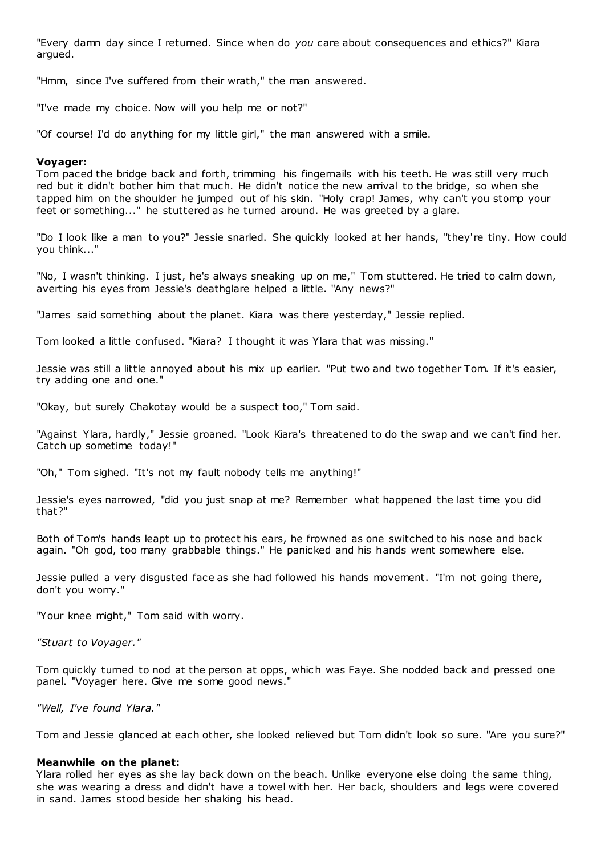"Every damn day since I returned. Since when do *you* care about consequences and ethics?" Kiara argued.

"Hmm, since I've suffered from their wrath," the man answered.

"I've made my choice. Now will you help me or not?"

"Of course! I'd do anything for my little girl," the man answered with a smile.

#### **Voyager:**

Tom paced the bridge back and forth, trimming his fingernails with his teeth. He was still very much red but it didn't bother him that much. He didn't notice the new arrival to the bridge, so when she tapped him on the shoulder he jumped out of his skin. "Holy crap! James, why can't you stomp your feet or something..." he stuttered as he turned around. He was greeted by a glare.

"Do I look like a man to you?" Jessie snarled. She quickly looked at her hands, "they're tiny. How could you think..."

"No, I wasn't thinking. I just, he's always sneaking up on me," Tom stuttered. He tried to calm down, averting his eyes from Jessie's deathglare helped a little. "Any news?"

"James said something about the planet. Kiara was there yesterday," Jessie replied.

Tom looked a little confused. "Kiara? I thought it was Ylara that was missing."

Jessie was still a little annoyed about his mix up earlier. "Put two and two together Tom. If it's easier, try adding one and one."

"Okay, but surely Chakotay would be a suspect too," Tom said.

"Against Ylara, hardly," Jessie groaned. "Look Kiara's threatened to do the swap and we can't find her. Catch up sometime today!"

"Oh," Tom sighed. "It's not my fault nobody tells me anything!"

Jessie's eyes narrowed, "did you just snap at me? Remember what happened the last time you did that?"

Both of Tom's hands leapt up to protect his ears, he frowned as one switched to his nose and back again. "Oh god, too many grabbable things." He panicked and his hands went somewhere else.

Jessie pulled a very disgusted face as she had followed his hands movement. "I'm not going there, don't you worry."

"Your knee might," Tom said with worry.

*"Stuart to Voyager."*

Tom quickly turned to nod at the person at opps, which was Faye. She nodded back and pressed one panel. "Voyager here. Give me some good news."

*"Well, I've found Ylara."*

Tom and Jessie glanced at each other, she looked relieved but Tom didn't look so sure. "Are you sure?"

#### **Meanwhile on the planet:**

Ylara rolled her eyes as she lay back down on the beach. Unlike everyone else doing the same thing, she was wearing a dress and didn't have a towel with her. Her back, shoulders and legs were covered in sand. James stood beside her shaking his head.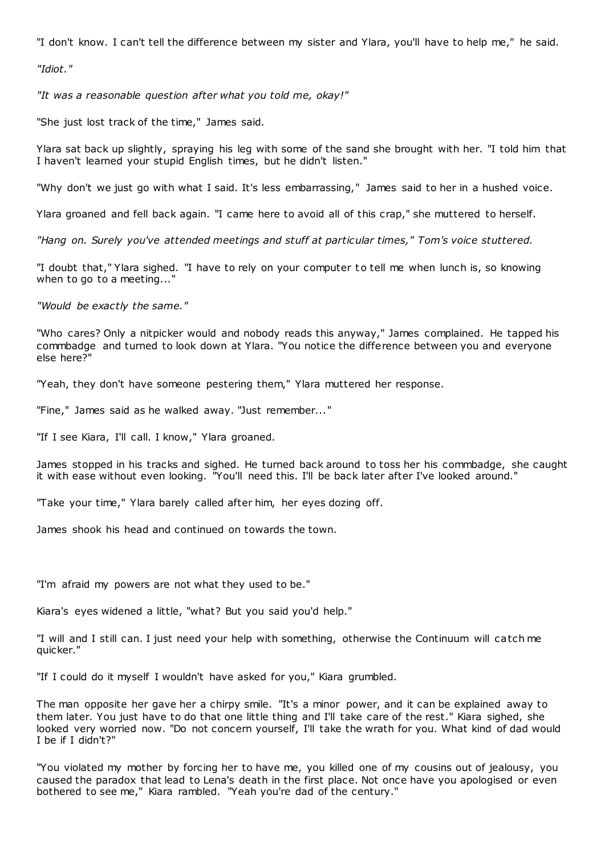"I don't know. I can't tell the difference between my sister and Ylara, you'll have to help me," he said.

*"Idiot."*

*"It was a reasonable question after what you told me, okay!"*

"She just lost track of the time," James said.

Ylara sat back up slightly, spraying his leg with some of the sand she brought with her. "I told him that I haven't learned your stupid English times, but he didn't listen."

"Why don't we just go with what I said. It's less embarrassing," James said to her in a hushed voice.

Ylara groaned and fell back again. "I came here to avoid all of this crap," she muttered to herself.

*"Hang on. Surely you've attended meetings and stuff at particular times," Tom's voice stuttered.*

"I doubt that," Ylara sighed. "I have to rely on your computer to tell me when lunch is, so knowing when to go to a meeting..."

*"Would be exactly the same."*

"Who cares? Only a nitpicker would and nobody reads this anyway," James complained. He tapped his commbadge and turned to look down at Ylara. "You notice the difference between you and everyone else here?"

"Yeah, they don't have someone pestering them," Ylara muttered her response.

"Fine," James said as he walked away. "Just remember..."

"If I see Kiara, I'll call. I know," Ylara groaned.

James stopped in his tracks and sighed. He turned back around to toss her his commbadge, she caught it with ease without even looking. "You'll need this. I'll be back later after I've looked around."

"Take your time," Ylara barely called after him, her eyes dozing off.

James shook his head and continued on towards the town.

"I'm afraid my powers are not what they used to be."

Kiara's eyes widened a little, "what? But you said you'd help."

"I will and I still can. I just need your help with something, otherwise the Continuum will catch me quicker."

"If I could do it myself I wouldn't have asked for you," Kiara grumbled.

The man opposite her gave her a chirpy smile. "It's a minor power, and it can be explained away to them later. You just have to do that one little thing and I'll take care of the rest." Kiara sighed, she looked very worried now. "Do not concern yourself, I'll take the wrath for you. What kind of dad would I be if I didn't?"

"You violated my mother by forcing her to have me, you killed one of my cousins out of jealousy, you caused the paradox that lead to Lena's death in the first place. Not once have you apologised or even bothered to see me," Kiara rambled. "Yeah you're dad of the century."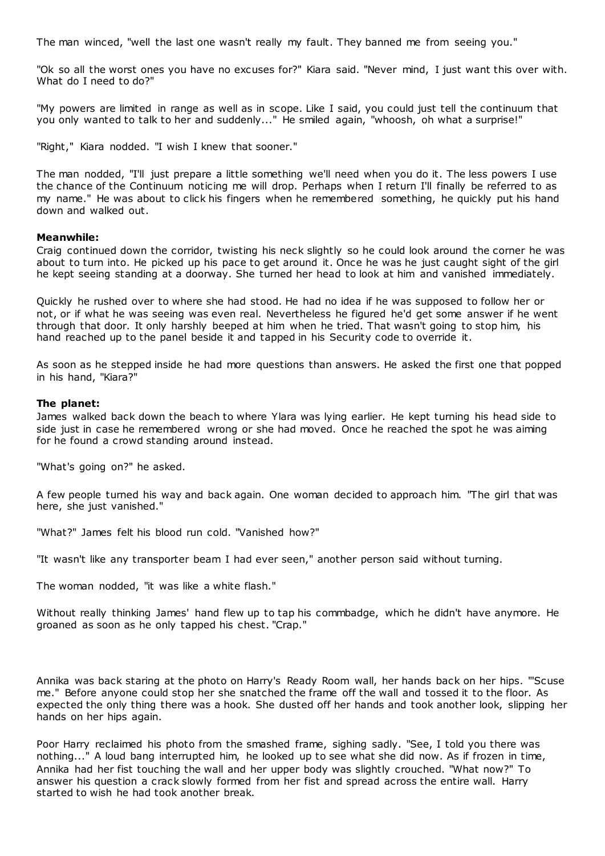The man winced, "well the last one wasn't really my fault. They banned me from seeing you."

"Ok so all the worst ones you have no excuses for?" Kiara said. "Never mind, I just want this over with. What do I need to do?"

"My powers are limited in range as well as in scope. Like I said, you could just tell the continuum that you only wanted to talk to her and suddenly..." He smiled again, "whoosh, oh what a surprise!"

"Right," Kiara nodded. "I wish I knew that sooner."

The man nodded, "I'll just prepare a little something we'll need when you do it. The less powers I use the chance of the Continuum noticing me will drop. Perhaps when I return I'll finally be referred to as my name." He was about to click his fingers when he remembered something, he quickly put his hand down and walked out.

### **Meanwhile:**

Craig continued down the corridor, twisting his neck slightly so he could look around the corner he was about to turn into. He picked up his pace to get around it. Once he was he just caught sight of the girl he kept seeing standing at a doorway. She turned her head to look at him and vanished immediately.

Quickly he rushed over to where she had stood. He had no idea if he was supposed to follow her or not, or if what he was seeing was even real. Nevertheless he figured he'd get some answer if he went through that door. It only harshly beeped at him when he tried. That wasn't going to stop him, his hand reached up to the panel beside it and tapped in his Security code to override it.

As soon as he stepped inside he had more questions than answers. He asked the first one that popped in his hand, "Kiara?"

### **The planet:**

James walked back down the beach to where Ylara was lying earlier. He kept turning his head side to side just in case he remembered wrong or she had moved. Once he reached the spot he was aiming for he found a crowd standing around instead.

"What's going on?" he asked.

A few people turned his way and back again. One woman decided to approach him. "The girl that was here, she just vanished."

"What?" James felt his blood run cold. "Vanished how?"

"It wasn't like any transporter beam I had ever seen," another person said without turning.

The woman nodded, "it was like a white flash."

Without really thinking James' hand flew up to tap his commbadge, which he didn't have anymore. He groaned as soon as he only tapped his chest. "Crap."

Annika was back staring at the photo on Harry's Ready Room wall, her hands back on her hips. "'Scuse me." Before anyone could stop her she snatched the frame off the wall and tossed it to the floor. As expected the only thing there was a hook. She dusted off her hands and took another look, slipping her hands on her hips again.

Poor Harry reclaimed his photo from the smashed frame, sighing sadly. "See, I told you there was nothing..." A loud bang interrupted him, he looked up to see what she did now. As if frozen in time, Annika had her fist touching the wall and her upper body was slightly crouched. "What now?" To answer his question a crack slowly formed from her fist and spread across the entire wall. Harry started to wish he had took another break.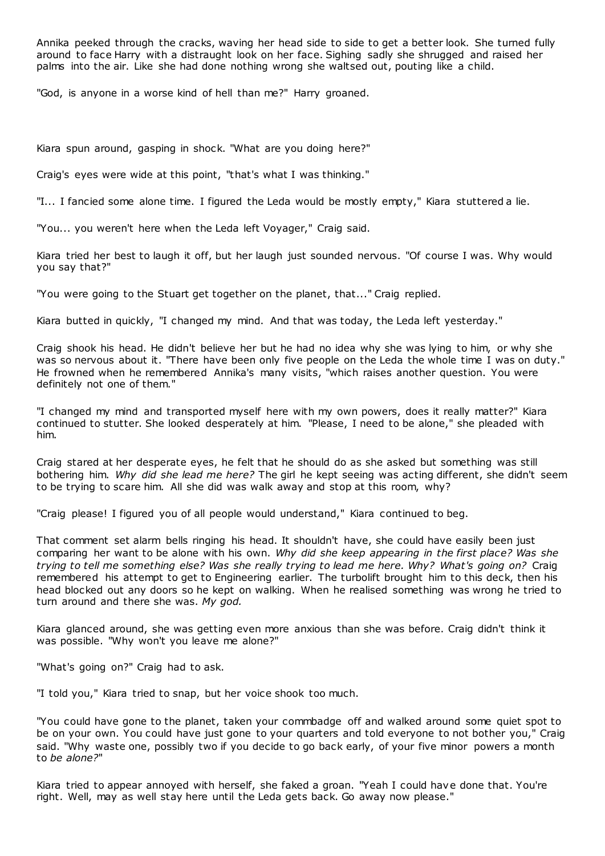Annika peeked through the cracks, waving her head side to side to get a better look. She turned fully around to face Harry with a distraught look on her face. Sighing sadly she shrugged and raised her palms into the air. Like she had done nothing wrong she waltsed out, pouting like a child.

"God, is anyone in a worse kind of hell than me?" Harry groaned.

Kiara spun around, gasping in shock. "What are you doing here?"

Craig's eyes were wide at this point, "that's what I was thinking."

"I... I fancied some alone time. I figured the Leda would be mostly empty," Kiara stuttered a lie.

"You... you weren't here when the Leda left Voyager," Craig said.

Kiara tried her best to laugh it off, but her laugh just sounded nervous. "Of course I was. Why would you say that?"

"You were going to the Stuart get together on the planet, that..." Craig replied.

Kiara butted in quickly, "I changed my mind. And that was today, the Leda left yesterday."

Craig shook his head. He didn't believe her but he had no idea why she was lying to him, or why she was so nervous about it. "There have been only five people on the Leda the whole time I was on duty." He frowned when he remembered Annika's many visits, "which raises another question. You were definitely not one of them."

"I changed my mind and transported myself here with my own powers, does it really matter?" Kiara continued to stutter. She looked desperately at him. "Please, I need to be alone," she pleaded with him.

Craig stared at her desperate eyes, he felt that he should do as she asked but something was still bothering him. *Why did she lead me here?* The girl he kept seeing was acting different, she didn't seem to be trying to scare him. All she did was walk away and stop at this room, why?

"Craig please! I figured you of all people would understand," Kiara continued to beg.

That comment set alarm bells ringing his head. It shouldn't have, she could have easily been just comparing her want to be alone with his own. *Why did she keep appearing in the first place? Was she trying to tell me something else? Was she really trying to lead me here. Why? What's going on?* Craig remembered his attempt to get to Engineering earlier. The turbolift brought him to this deck, then his head blocked out any doors so he kept on walking. When he realised something was wrong he tried to turn around and there she was. *My god.*

Kiara glanced around, she was getting even more anxious than she was before. Craig didn't think it was possible. "Why won't you leave me alone?"

"What's going on?" Craig had to ask.

"I told you," Kiara tried to snap, but her voice shook too much.

"You could have gone to the planet, taken your commbadge off and walked around some quiet spot to be on your own. You could have just gone to your quarters and told everyone to not bother you," Craig said. "Why waste one, possibly two if you decide to go back early, of your five minor powers a month to *be alone?*"

Kiara tried to appear annoyed with herself, she faked a groan. "Yeah I could have done that. You're right. Well, may as well stay here until the Leda gets back. Go away now please."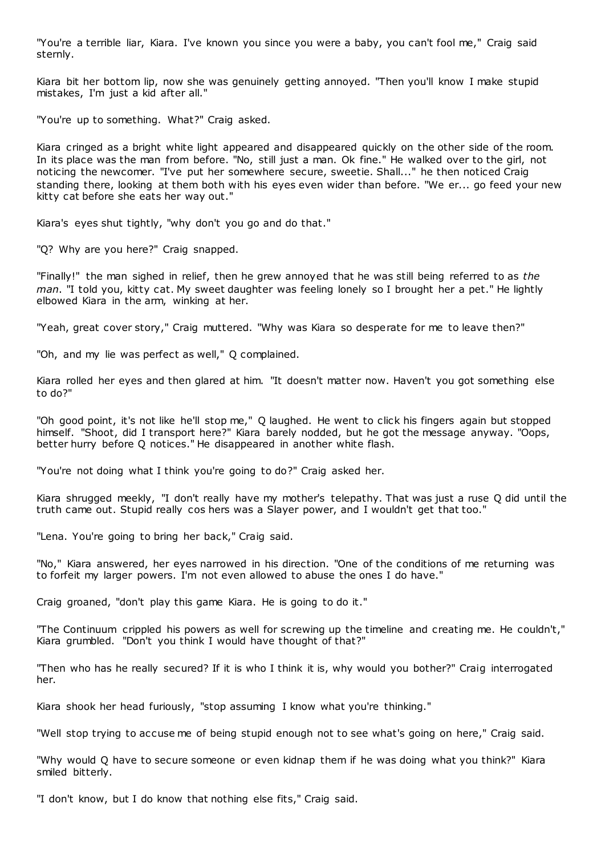"You're a terrible liar, Kiara. I've known you since you were a baby, you can't fool me," Craig said sternly.

Kiara bit her bottom lip, now she was genuinely getting annoyed. "Then you'll know I make stupid mistakes, I'm just a kid after all."

"You're up to something. What?" Craig asked.

Kiara cringed as a bright white light appeared and disappeared quickly on the other side of the room. In its place was the man from before. "No, still just a man. Ok fine." He walked over to the girl, not noticing the newcomer. "I've put her somewhere secure, sweetie. Shall..." he then noticed Craig standing there, looking at them both with his eyes even wider than before. "We er... go feed your new kitty cat before she eats her way out."

Kiara's eyes shut tightly, "why don't you go and do that."

"Q? Why are you here?" Craig snapped.

"Finally!" the man sighed in relief, then he grew annoyed that he was still being referred to as *the man*. "I told you, kitty cat. My sweet daughter was feeling lonely so I brought her a pet." He lightly elbowed Kiara in the arm, winking at her.

"Yeah, great cover story," Craig muttered. "Why was Kiara so desperate for me to leave then?"

"Oh, and my lie was perfect as well," Q complained.

Kiara rolled her eyes and then glared at him. "It doesn't matter now. Haven't you got something else to do?"

"Oh good point, it's not like he'll stop me," Q laughed. He went to click his fingers again but stopped himself. "Shoot, did I transport here?" Kiara barely nodded, but he got the message anyway. "Oops, better hurry before Q notices." He disappeared in another white flash.

"You're not doing what I think you're going to do?" Craig asked her.

Kiara shrugged meekly, "I don't really have my mother's telepathy. That was just a ruse Q did until the truth came out. Stupid really cos hers was a Slayer power, and I wouldn't get that too."

"Lena. You're going to bring her back," Craig said.

"No," Kiara answered, her eyes narrowed in his direction. "One of the conditions of me returning was to forfeit my larger powers. I'm not even allowed to abuse the ones I do have."

Craig groaned, "don't play this game Kiara. He is going to do it."

"The Continuum crippled his powers as well for screwing up the timeline and creating me. He couldn't," Kiara grumbled. "Don't you think I would have thought of that?"

"Then who has he really secured? If it is who I think it is, why would you bother?" Craig interrogated her.

Kiara shook her head furiously, "stop assuming I know what you're thinking."

"Well stop trying to accuse me of being stupid enough not to see what's going on here," Craig said.

"Why would Q have to secure someone or even kidnap them if he was doing what you think?" Kiara smiled bitterly.

"I don't know, but I do know that nothing else fits," Craig said.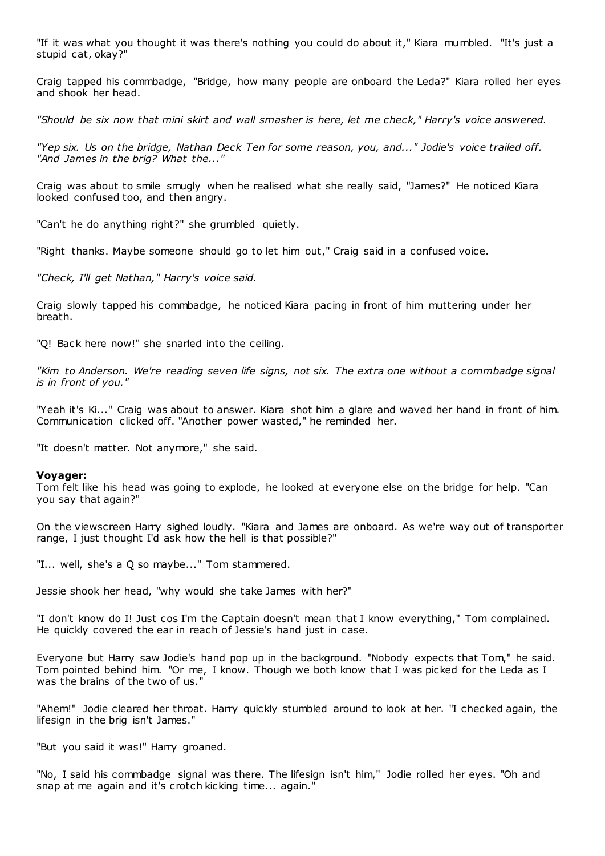"If it was what you thought it was there's nothing you could do about it," Kiara mumbled. "It's just a stupid cat, okay?"

Craig tapped his commbadge, "Bridge, how many people are onboard the Leda?" Kiara rolled her eyes and shook her head.

*"Should be six now that mini skirt and wall smasher is here, let me check," Harry's voice answered.*

*"Yep six. Us on the bridge, Nathan Deck Ten for some reason, you, and..." Jodie's voice trailed off. "And James in the brig? What the..."*

Craig was about to smile smugly when he realised what she really said, "James?" He noticed Kiara looked confused too, and then angry.

"Can't he do anything right?" she grumbled quietly.

"Right thanks. Maybe someone should go to let him out," Craig said in a confused voice.

*"Check, I'll get Nathan," Harry's voice said.*

Craig slowly tapped his commbadge, he noticed Kiara pacing in front of him muttering under her breath.

"Q! Back here now!" she snarled into the ceiling.

*"Kim to Anderson. We're reading seven life signs, not six. The extra one without a commbadge signal is in front of you."*

"Yeah it's Ki..." Craig was about to answer. Kiara shot him a glare and waved her hand in front of him. Communication clicked off. "Another power wasted," he reminded her.

"It doesn't matter. Not anymore," she said.

#### **Voyager:**

Tom felt like his head was going to explode, he looked at everyone else on the bridge for help. "Can you say that again?"

On the viewscreen Harry sighed loudly. "Kiara and James are onboard. As we're way out of transporter range, I just thought I'd ask how the hell is that possible?"

"I... well, she's a Q so maybe..." Tom stammered.

Jessie shook her head, "why would she take James with her?"

"I don't know do I! Just cos I'm the Captain doesn't mean that I know everything," Tom complained. He quickly covered the ear in reach of Jessie's hand just in case.

Everyone but Harry saw Jodie's hand pop up in the background. "Nobody expects that Tom," he said. Tom pointed behind him. "Or me, I know. Though we both know that I was picked for the Leda as I was the brains of the two of us."

"Ahem!" Jodie cleared her throat. Harry quickly stumbled around to look at her. "I checked again, the lifesign in the brig isn't James."

"But you said it was!" Harry groaned.

"No, I said his commbadge signal was there. The lifesign isn't him," Jodie rolled her eyes. "Oh and snap at me again and it's crotch kicking time... again."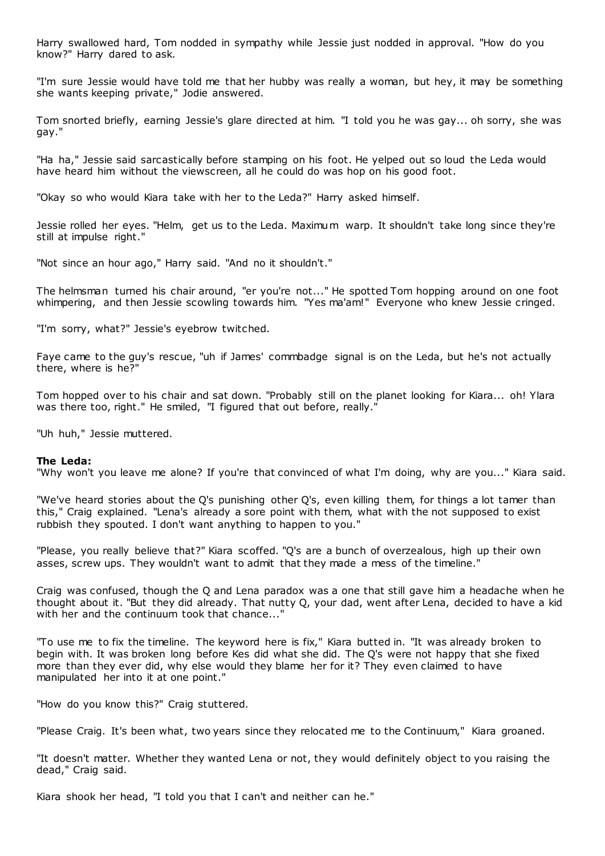Harry swallowed hard, Tom nodded in sympathy while Jessie just nodded in approval. "How do you know?" Harry dared to ask.

"I'm sure Jessie would have told me that her hubby was really a woman, but hey, it may be something she wants keeping private," Jodie answered.

Tom snorted briefly, earning Jessie's glare directed at him. "I told you he was gay... oh sorry, she was gay."

"Ha ha," Jessie said sarcastically before stamping on his foot. He yelped out so loud the Leda would have heard him without the viewscreen, all he could do was hop on his good foot.

"Okay so who would Kiara take with her to the Leda?" Harry asked himself.

Jessie rolled her eyes. "Helm, get us to the Leda. Maximum warp. It shouldn't take long since they're still at impulse right."

"Not since an hour ago," Harry said. "And no it shouldn't."

The helmsman turned his chair around, "er you're not..." He spotted Tom hopping around on one foot whimpering, and then Jessie scowling towards him. "Yes ma'am!" Everyone who knew Jessie cringed.

"I'm sorry, what?" Jessie's eyebrow twitched.

Faye came to the guy's rescue, "uh if James' commbadge signal is on the Leda, but he's not actually there, where is he?"

Tom hopped over to his chair and sat down. "Probably still on the planet looking for Kiara... oh! Ylara was there too, right." He smiled, "I figured that out before, really."

"Uh huh," Jessie muttered.

#### **The Leda:**

"Why won't you leave me alone? If you're that convinced of what I'm doing, why are you..." Kiara said.

"We've heard stories about the Q's punishing other Q's, even killing them, for things a lot tamer than this," Craig explained. "Lena's already a sore point with them, what with the not supposed to exist rubbish they spouted. I don't want anything to happen to you."

"Please, you really believe that?" Kiara scoffed. "Q's are a bunch of overzealous, high up their own asses, screw ups. They wouldn't want to admit that they made a mess of the timeline."

Craig was confused, though the Q and Lena paradox was a one that still gave him a headache when he thought about it. "But they did already. That nutty Q, your dad, went after Lena, decided to have a kid with her and the continuum took that chance..."

"To use me to fix the timeline. The keyword here is fix," Kiara butted in. "It was already broken to begin with. It was broken long before Kes did what she did. The Q's were not happy that she fixed more than they ever did, why else would they blame her for it? They even claimed to have manipulated her into it at one point."

"How do you know this?" Craig stuttered.

"Please Craig. It's been what, two years since they relocated me to the Continuum," Kiara groaned.

"It doesn't matter. Whether they wanted Lena or not, they would definitely object to you raising the dead," Craig said.

Kiara shook her head, "I told you that I can't and neither can he."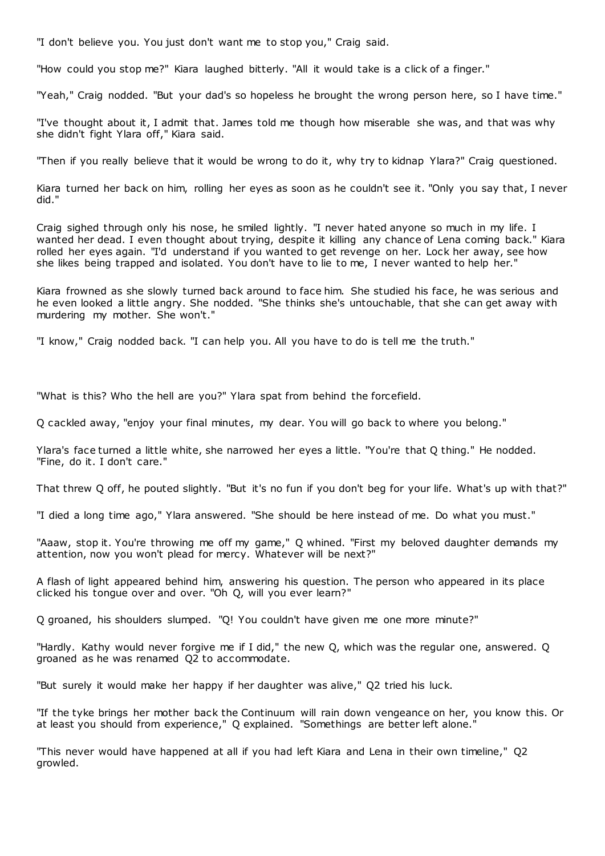"I don't believe you. You just don't want me to stop you," Craig said.

"How could you stop me?" Kiara laughed bitterly. "All it would take is a click of a finger."

"Yeah," Craig nodded. "But your dad's so hopeless he brought the wrong person here, so I have time."

"I've thought about it, I admit that. James told me though how miserable she was, and that was why she didn't fight Ylara off," Kiara said.

"Then if you really believe that it would be wrong to do it, why try to kidnap Ylara?" Craig questioned.

Kiara turned her back on him, rolling her eyes as soon as he couldn't see it. "Only you say that, I never did."

Craig sighed through only his nose, he smiled lightly. "I never hated anyone so much in my life. I wanted her dead. I even thought about trying, despite it killing any chance of Lena coming back." Kiara rolled her eyes again. "I'd understand if you wanted to get revenge on her. Lock her away, see how she likes being trapped and isolated. You don't have to lie to me, I never wanted to help her."

Kiara frowned as she slowly turned back around to face him. She studied his face, he was serious and he even looked a little angry. She nodded. "She thinks she's untouchable, that she can get away with murdering my mother. She won't."

"I know," Craig nodded back. "I can help you. All you have to do is tell me the truth."

"What is this? Who the hell are you?" Ylara spat from behind the forcefield.

Q cackled away, "enjoy your final minutes, my dear. You will go back to where you belong."

Ylara's face turned a little white, she narrowed her eyes a little. "You're that Q thing." He nodded. "Fine, do it. I don't care."

That threw Q off, he pouted slightly. "But it's no fun if you don't beg for your life. What's up with that?"

"I died a long time ago," Ylara answered. "She should be here instead of me. Do what you must."

"Aaaw, stop it. You're throwing me off my game," Q whined. "First my beloved daughter demands my attention, now you won't plead for mercy. Whatever will be next?"

A flash of light appeared behind him, answering his question. The person who appeared in its place clicked his tongue over and over. "Oh Q, will you ever learn?"

Q groaned, his shoulders slumped. "Q! You couldn't have given me one more minute?"

"Hardly. Kathy would never forgive me if I did," the new Q, which was the regular one, answered. Q groaned as he was renamed Q2 to accommodate.

"But surely it would make her happy if her daughter was alive," Q2 tried his luck.

"If the tyke brings her mother back the Continuum will rain down vengeance on her, you know this. Or at least you should from experience," Q explained. "Somethings are better left alone."

"This never would have happened at all if you had left Kiara and Lena in their own timeline," Q2 growled.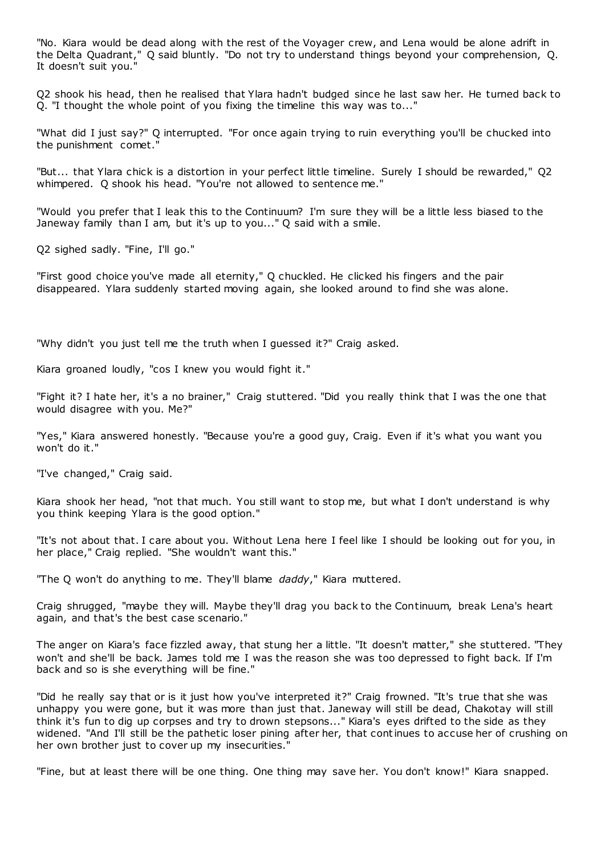"No. Kiara would be dead along with the rest of the Voyager crew, and Lena would be alone adrift in the Delta Quadrant," Q said bluntly. "Do not try to understand things beyond your comprehension, Q. It doesn't suit you."

Q2 shook his head, then he realised that Ylara hadn't budged since he last saw her. He turned back to Q. "I thought the whole point of you fixing the timeline this way was to..."

"What did I just say?" Q interrupted. "For once again trying to ruin everything you'll be chucked into the punishment comet."

"But... that Ylara chick is a distortion in your perfect little timeline. Surely I should be rewarded," Q2 whimpered. Q shook his head. "You're not allowed to sentence me."

"Would you prefer that I leak this to the Continuum? I'm sure they will be a little less biased to the Janeway family than I am, but it's up to you..." Q said with a smile.

Q2 sighed sadly. "Fine, I'll go."

"First good choice you've made all eternity," Q chuckled. He clicked his fingers and the pair disappeared. Ylara suddenly started moving again, she looked around to find she was alone.

"Why didn't you just tell me the truth when I guessed it?" Craig asked.

Kiara groaned loudly, "cos I knew you would fight it."

"Fight it? I hate her, it's a no brainer," Craig stuttered. "Did you really think that I was the one that would disagree with you. Me?"

"Yes," Kiara answered honestly. "Because you're a good guy, Craig. Even if it's what you want you won't do it."

"I've changed," Craig said.

Kiara shook her head, "not that much. You still want to stop me, but what I don't understand is why you think keeping Ylara is the good option."

"It's not about that. I care about you. Without Lena here I feel like I should be looking out for you, in her place," Craig replied. "She wouldn't want this."

"The Q won't do anything to me. They'll blame *daddy*," Kiara muttered.

Craig shrugged, "maybe they will. Maybe they'll drag you back to the Continuum, break Lena's heart again, and that's the best case scenario."

The anger on Kiara's face fizzled away, that stung her a little. "It doesn't matter," she stuttered. "They won't and she'll be back. James told me I was the reason she was too depressed to fight back. If I'm back and so is she everything will be fine."

"Did he really say that or is it just how you've interpreted it?" Craig frowned. "It's true that she was unhappy you were gone, but it was more than just that. Janeway will still be dead, Chakotay will still think it's fun to dig up corpses and try to drown stepsons..." Kiara's eyes drifted to the side as they widened. "And I'll still be the pathetic loser pining after her, that continues to accuse her of crushing on her own brother just to cover up my insecurities."

"Fine, but at least there will be one thing. One thing may save her. You don't know!" Kiara snapped.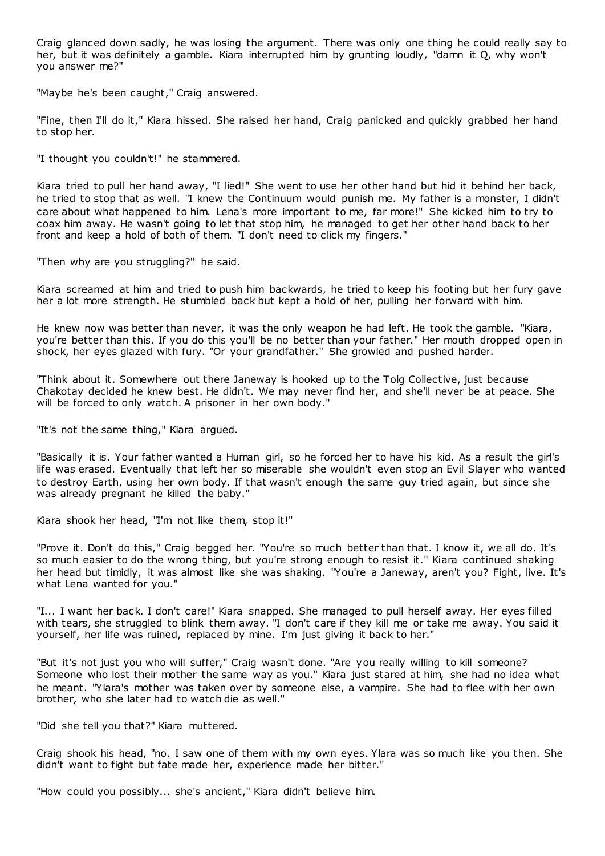Craig glanced down sadly, he was losing the argument. There was only one thing he could really say to her, but it was definitely a gamble. Kiara interrupted him by grunting loudly, "damn it Q, why won't you answer me?"

"Maybe he's been caught," Craig answered.

"Fine, then I'll do it," Kiara hissed. She raised her hand, Craig panicked and quickly grabbed her hand to stop her.

"I thought you couldn't!" he stammered.

Kiara tried to pull her hand away, "I lied!" She went to use her other hand but hid it behind her back, he tried to stop that as well. "I knew the Continuum would punish me. My father is a monster, I didn't care about what happened to him. Lena's more important to me, far more!" She kicked him to try to coax him away. He wasn't going to let that stop him, he managed to get her other hand back to her front and keep a hold of both of them. "I don't need to click my fingers."

"Then why are you struggling?" he said.

Kiara screamed at him and tried to push him backwards, he tried to keep his footing but her fury gave her a lot more strength. He stumbled back but kept a hold of her, pulling her forward with him.

He knew now was better than never, it was the only weapon he had left. He took the gamble. "Kiara, you're better than this. If you do this you'll be no better than your father." Her mouth dropped open in shock, her eyes glazed with fury. "Or your grandfather." She growled and pushed harder.

"Think about it. Somewhere out there Janeway is hooked up to the Tolg Collective, just because Chakotay decided he knew best. He didn't. We may never find her, and she'll never be at peace. She will be forced to only watch. A prisoner in her own body."

"It's not the same thing," Kiara argued.

"Basically it is. Your father wanted a Human girl, so he forced her to have his kid. As a result the girl's life was erased. Eventually that left her so miserable she wouldn't even stop an Evil Slayer who wanted to destroy Earth, using her own body. If that wasn't enough the same guy tried again, but since she was already pregnant he killed the baby."

Kiara shook her head, "I'm not like them, stop it!"

"Prove it. Don't do this," Craig begged her. "You're so much better than that. I know it, we all do. It's so much easier to do the wrong thing, but you're strong enough to resist it." Kiara continued shaking her head but timidly, it was almost like she was shaking. "You're a Janeway, aren't you? Fight, live. It's what Lena wanted for you."

"I... I want her back. I don't care!" Kiara snapped. She managed to pull herself away. Her eyes filled with tears, she struggled to blink them away. "I don't care if they kill me or take me away. You said it yourself, her life was ruined, replaced by mine. I'm just giving it back to her."

"But it's not just you who will suffer," Craig wasn't done. "Are you really willing to kill someone? Someone who lost their mother the same way as you." Kiara just stared at him, she had no idea what he meant. "Ylara's mother was taken over by someone else, a vampire. She had to flee with her own brother, who she later had to watch die as well."

"Did she tell you that?" Kiara muttered.

Craig shook his head, "no. I saw one of them with my own eyes. Ylara was so much like you then. She didn't want to fight but fate made her, experience made her bitter."

"How could you possibly... she's ancient," Kiara didn't believe him.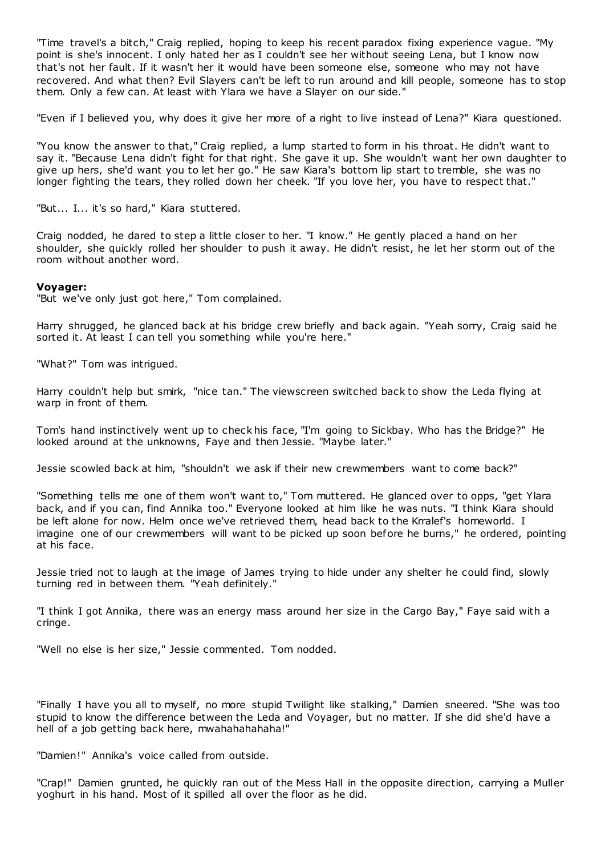"Time travel's a bitch," Craig replied, hoping to keep his recent paradox fixing experience vague. "My point is she's innocent. I only hated her as I couldn't see her without seeing Lena, but I know now that's not her fault. If it wasn't her it would have been someone else, someone who may not have recovered. And what then? Evil Slayers can't be left to run around and kill people, someone has to stop them. Only a few can. At least with Ylara we have a Slayer on our side."

"Even if I believed you, why does it give her more of a right to live instead of Lena?" Kiara questioned.

"You know the answer to that," Craig replied, a lump started to form in his throat. He didn't want to say it. "Because Lena didn't fight for that right. She gave it up. She wouldn't want her own daughter to give up hers, she'd want you to let her go." He saw Kiara's bottom lip start to tremble, she was no longer fighting the tears, they rolled down her cheek. "If you love her, you have to respect that."

"But... I... it's so hard," Kiara stuttered.

Craig nodded, he dared to step a little closer to her. "I know." He gently placed a hand on her shoulder, she quickly rolled her shoulder to push it away. He didn't resist, he let her storm out of the room without another word.

#### **Voyager:**

"But we've only just got here," Tom complained.

Harry shrugged, he glanced back at his bridge crew briefly and back again. "Yeah sorry, Craig said he sorted it. At least I can tell you something while you're here."

"What?" Tom was intrigued.

Harry couldn't help but smirk, "nice tan." The viewscreen switched back to show the Leda flying at warp in front of them.

Tom's hand instinctively went up to check his face, "I'm going to Sickbay. Who has the Bridge?" He looked around at the unknowns, Faye and then Jessie. "Maybe later."

Jessie scowled back at him, "shouldn't we ask if their new crewmembers want to come back?"

"Something tells me one of them won't want to," Tom muttered. He glanced over to opps, "get Ylara back, and if you can, find Annika too." Everyone looked at him like he was nuts. "I think Kiara should be left alone for now. Helm once we've retrieved them, head back to the Krralef's homeworld. I imagine one of our crewmembers will want to be picked up soon before he burns," he ordered, pointing at his face.

Jessie tried not to laugh at the image of James trying to hide under any shelter he could find, slowly turning red in between them. "Yeah definitely."

"I think I got Annika, there was an energy mass around her size in the Cargo Bay," Faye said with a cringe.

"Well no else is her size," Jessie commented. Tom nodded.

"Finally I have you all to myself, no more stupid Twilight like stalking," Damien sneered. "She was too stupid to know the difference between the Leda and Voyager, but no matter. If she did she'd have a hell of a job getting back here, mwahahahahaha!"

"Damien!" Annika's voice called from outside.

"Crap!" Damien grunted, he quickly ran out of the Mess Hall in the opposite direction, carrying a Muller yoghurt in his hand. Most of it spilled all over the floor as he did.